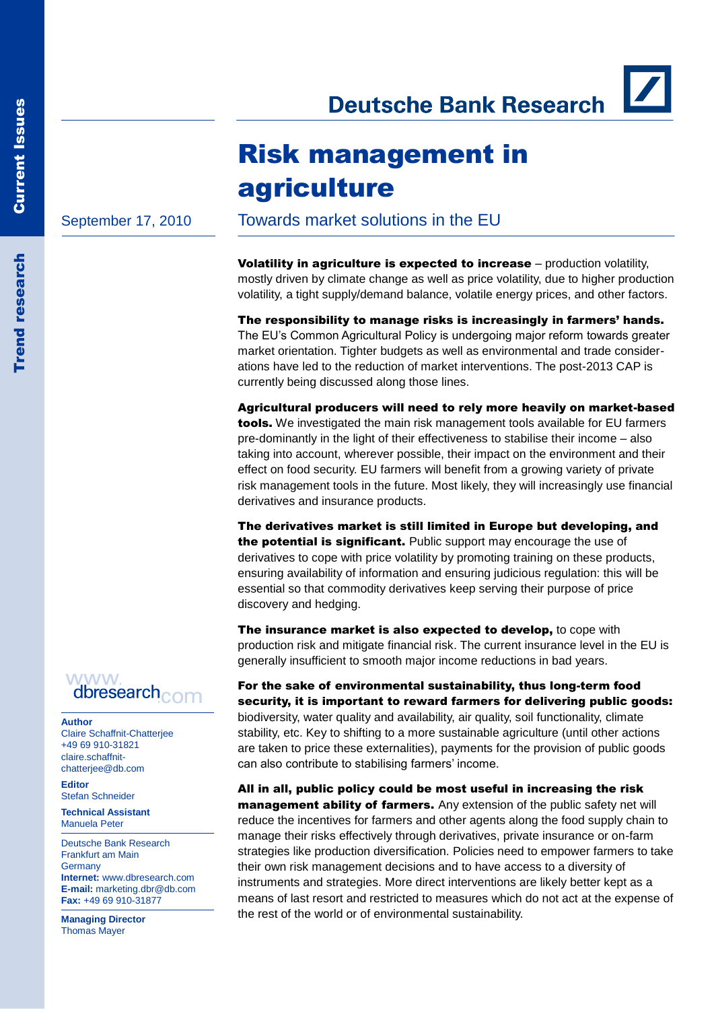**Deutsche Bank Research** 

# Risk management in agriculture

September 17, 2010

Towards market solutions in the EU

**Volatility in agriculture is expected to increase** – production volatility, mostly driven by climate change as well as price volatility, due to higher production volatility, a tight supply/demand balance, volatile energy prices, and other factors.

The responsibility to manage risks is increasingly in farmers' hands. The EU's Common Agricultural Policy is undergoing major reform towards greater market orientation. Tighter budgets as well as environmental and trade considerations have led to the reduction of market interventions. The post-2013 CAP is currently being discussed along those lines.

Agricultural producers will need to rely more heavily on market-based tools. We investigated the main risk management tools available for EU farmers pre-dominantly in the light of their effectiveness to stabilise their income – also taking into account, wherever possible, their impact on the environment and their effect on food security. EU farmers will benefit from a growing variety of private risk management tools in the future. Most likely, they will increasingly use financial derivatives and insurance products.

The derivatives market is still limited in Europe but developing, and the potential is significant. Public support may encourage the use of derivatives to cope with price volatility by promoting training on these products, ensuring availability of information and ensuring judicious regulation: this will be essential so that commodity derivatives keep serving their purpose of price discovery and hedging.

The insurance market is also expected to develop, to cope with production risk and mitigate financial risk. The current insurance level in the EU is generally insufficient to smooth major income reductions in bad years.

For the sake of environmental sustainability, thus long-term food security, it is important to reward farmers for delivering public goods: biodiversity, water quality and availability, air quality, soil functionality, climate stability, etc. Key to shifting to a more sustainable agriculture (until other actions are taken to price these externalities), payments for the provision of public goods can also contribute to stabilising farmers' income.

All in all, public policy could be most useful in increasing the risk management ability of farmers. Any extension of the public safety net will reduce the incentives for farmers and other agents along the food supply chain to manage their risks effectively through derivatives, private insurance or on-farm strategies like production diversification. Policies need to empower farmers to take their own risk management decisions and to have access to a diversity of instruments and strategies. More direct interventions are likely better kept as a means of last resort and restricted to measures which do not act at the expense of the rest of the world or of environmental sustainability.

**WWW** dbresearch<sub>com</sub>

**Author**

Claire Schaffnit-Chatterjee +49 69 910-31821 claire.schaffnitchatterjee@db.com

**Editor** Stefan Schneider

**Technical Assistant** Manuela Peter

Deutsche Bank Research Frankfurt am Main Germany **Internet:** www.dbresearch.com **E-mail:** marketing.dbr@db.com **Fax:** +49 69 910-31877

**Managing Director** Thomas Mayer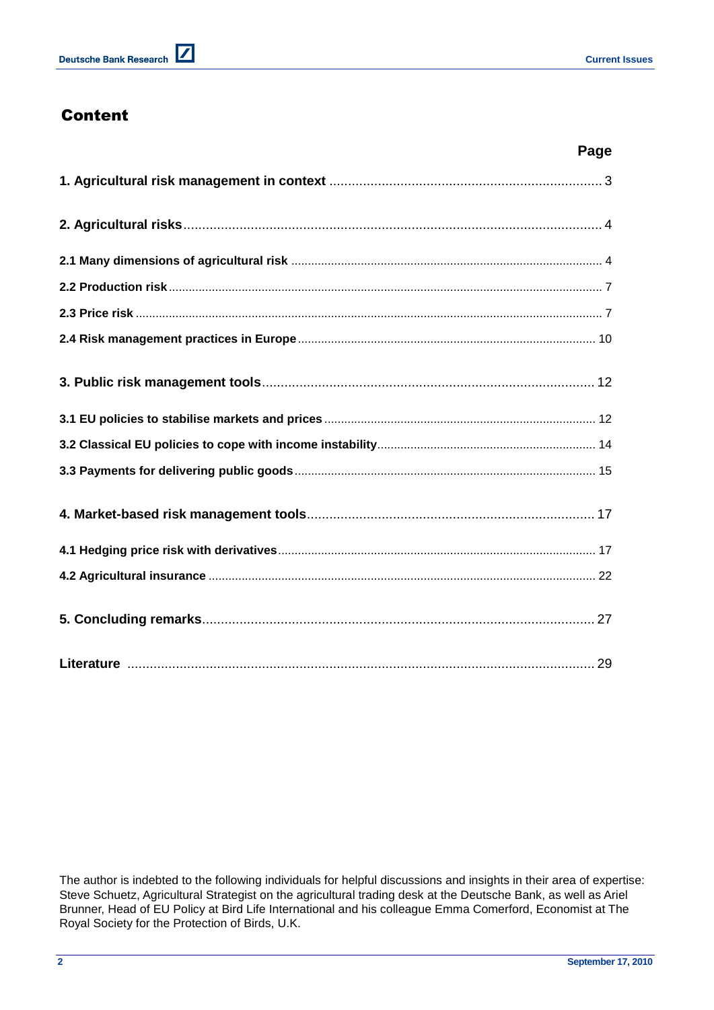# Content

| Page |
|------|
|      |
|      |
|      |
|      |
|      |
|      |
|      |
|      |
|      |
|      |
|      |
|      |
|      |
|      |
|      |

The author is indebted to the following individuals for helpful discussions and insights in their area of expertise: Steve Schuetz, Agricultural Strategist on the agricultural trading desk at the Deutsche Bank, as well as Ariel Brunner, Head of EU Policy at Bird Life International and his colleague Emma Comerford, Economist at The Royal Society for the Protection of Birds, U.K.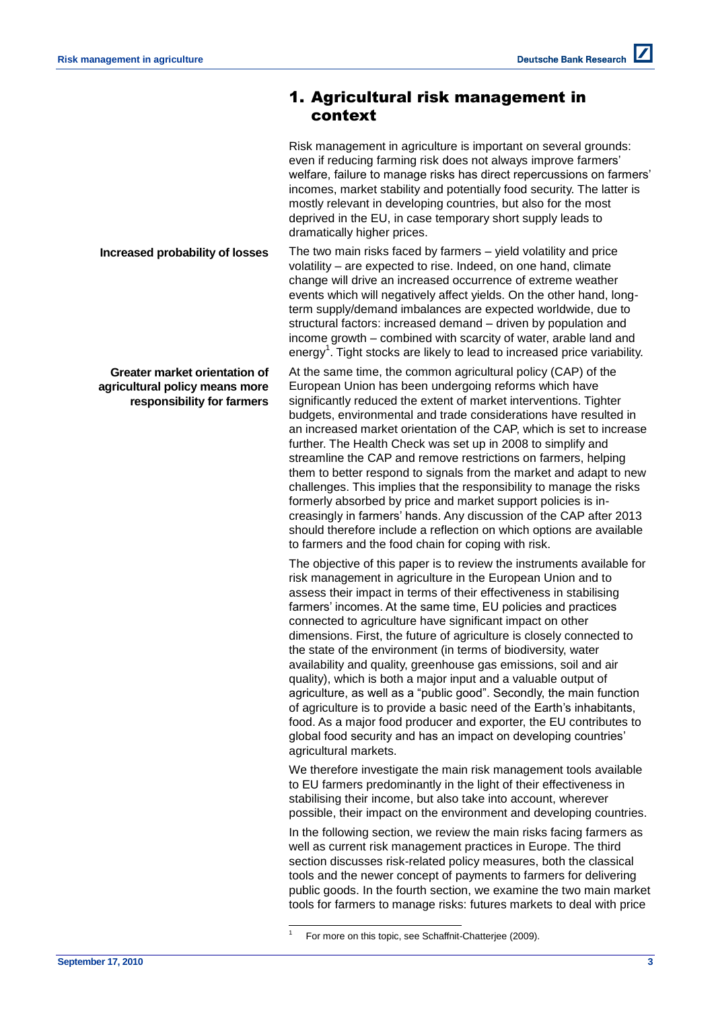# 1. Agricultural risk management in context

Risk management in agriculture is important on several grounds: even if reducing farming risk does not always improve farmers' welfare, failure to manage risks has direct repercussions on farmers' incomes, market stability and potentially food security. The latter is mostly relevant in developing countries, but also for the most deprived in the EU, in case temporary short supply leads to dramatically higher prices.

The two main risks faced by farmers – yield volatility and price volatility – are expected to rise. Indeed, on one hand, climate change will drive an increased occurrence of extreme weather events which will negatively affect yields. On the other hand, longterm supply/demand imbalances are expected worldwide, due to structural factors: increased demand – driven by population and income growth – combined with scarcity of water, arable land and energy<sup>1</sup>. Tight stocks are likely to lead to increased price variability.

At the same time, the common agricultural policy (CAP) of the European Union has been undergoing reforms which have significantly reduced the extent of market interventions. Tighter budgets, environmental and trade considerations have resulted in an increased market orientation of the CAP, which is set to increase further. The Health Check was set up in 2008 to simplify and streamline the CAP and remove restrictions on farmers, helping them to better respond to signals from the market and adapt to new challenges. This implies that the responsibility to manage the risks formerly absorbed by price and market support policies is increasingly in farmers' hands. Any discussion of the CAP after 2013 should therefore include a reflection on which options are available to farmers and the food chain for coping with risk.

The objective of this paper is to review the instruments available for risk management in agriculture in the European Union and to assess their impact in terms of their effectiveness in stabilising farmers' incomes. At the same time, EU policies and practices connected to agriculture have significant impact on other dimensions. First, the future of agriculture is closely connected to the state of the environment (in terms of biodiversity, water availability and quality, greenhouse gas emissions, soil and air quality), which is both a major input and a valuable output of agriculture, as well as a "public good". Secondly, the main function of agriculture is to provide a basic need of the Earth's inhabitants, food. As a major food producer and exporter, the EU contributes to global food security and has an impact on developing countries' agricultural markets.

We therefore investigate the main risk management tools available to EU farmers predominantly in the light of their effectiveness in stabilising their income, but also take into account, wherever possible, their impact on the environment and developing countries.

In the following section, we review the main risks facing farmers as well as current risk management practices in Europe. The third section discusses risk-related policy measures, both the classical tools and the newer concept of payments to farmers for delivering public goods. In the fourth section, we examine the two main market tools for farmers to manage risks: futures markets to deal with price

l 1

**Increased probability of losses**

**Greater market orientation of agricultural policy means more responsibility for farmers**

For more on this topic, see Schaffnit-Chatterjee (2009).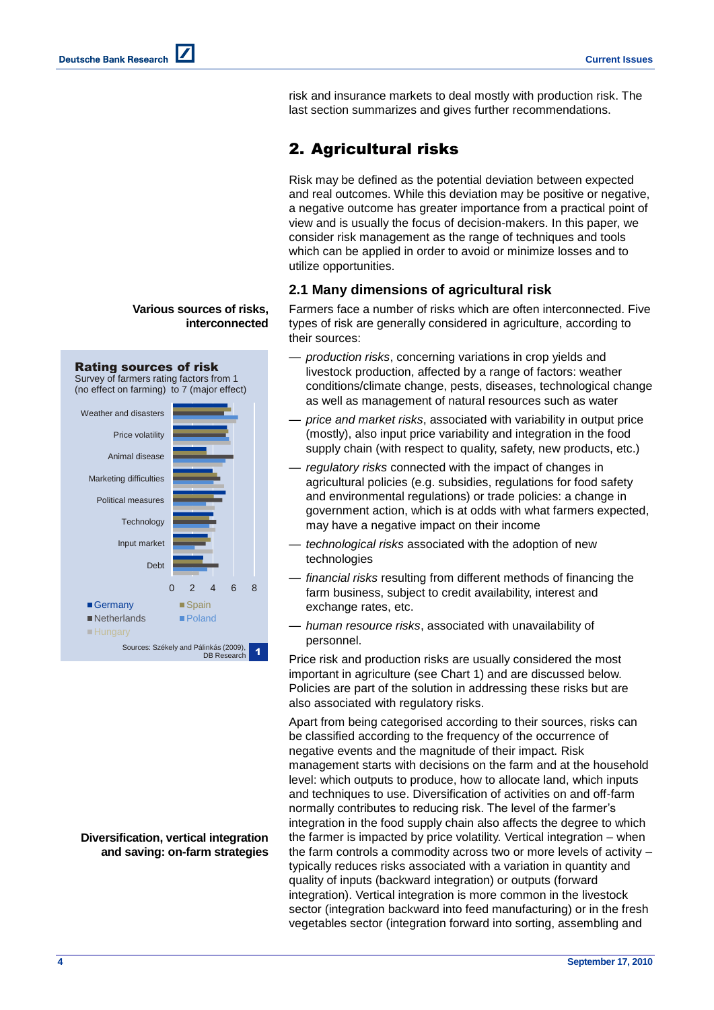risk and insurance markets to deal mostly with production risk. The last section summarizes and gives further recommendations.

# 2. Agricultural risks

Risk may be defined as the potential deviation between expected and real outcomes. While this deviation may be positive or negative, a negative outcome has greater importance from a practical point of view and is usually the focus of decision-makers. In this paper, we consider risk management as the range of techniques and tools which can be applied in order to avoid or minimize losses and to utilize opportunities.

### **2.1 Many dimensions of agricultural risk**

Farmers face a number of risks which are often interconnected. Five types of risk are generally considered in agriculture, according to their sources:

- *production risks*, concerning variations in crop yields and livestock production, affected by a range of factors: weather conditions/climate change, pests, diseases, technological change as well as management of natural resources such as water
- *price and market risks*, associated with variability in output price (mostly), also input price variability and integration in the food supply chain (with respect to quality, safety, new products, etc.)
- *regulatory risks* connected with the impact of changes in agricultural policies (e.g. subsidies, regulations for food safety and environmental regulations) or trade policies: a change in government action, which is at odds with what farmers expected, may have a negative impact on their income
- *technological risks* associated with the adoption of new technologies
- *financial risks* resulting from different methods of financing the farm business, subject to credit availability, interest and exchange rates, etc.
- *human resource risks*, associated with unavailability of personnel.

Price risk and production risks are usually considered the most important in agriculture (see Chart 1) and are discussed below. Policies are part of the solution in addressing these risks but are also associated with regulatory risks.

Apart from being categorised according to their sources, risks can be classified according to the frequency of the occurrence of negative events and the magnitude of their impact. Risk management starts with decisions on the farm and at the household level: which outputs to produce, how to allocate land, which inputs and techniques to use. Diversification of activities on and off-farm normally contributes to reducing risk. The level of the farmer's integration in the food supply chain also affects the degree to which the farmer is impacted by price volatility. Vertical integration – when the farm controls a commodity across two or more levels of activity – typically reduces risks associated with a variation in quantity and quality of inputs (backward integration) or outputs (forward integration). Vertical integration is more common in the livestock sector (integration backward into feed manufacturing) or in the fresh vegetables sector (integration forward into sorting, assembling and

## **Various sources of risks, interconnected**



**Diversification, vertical integration and saving: on-farm strategies**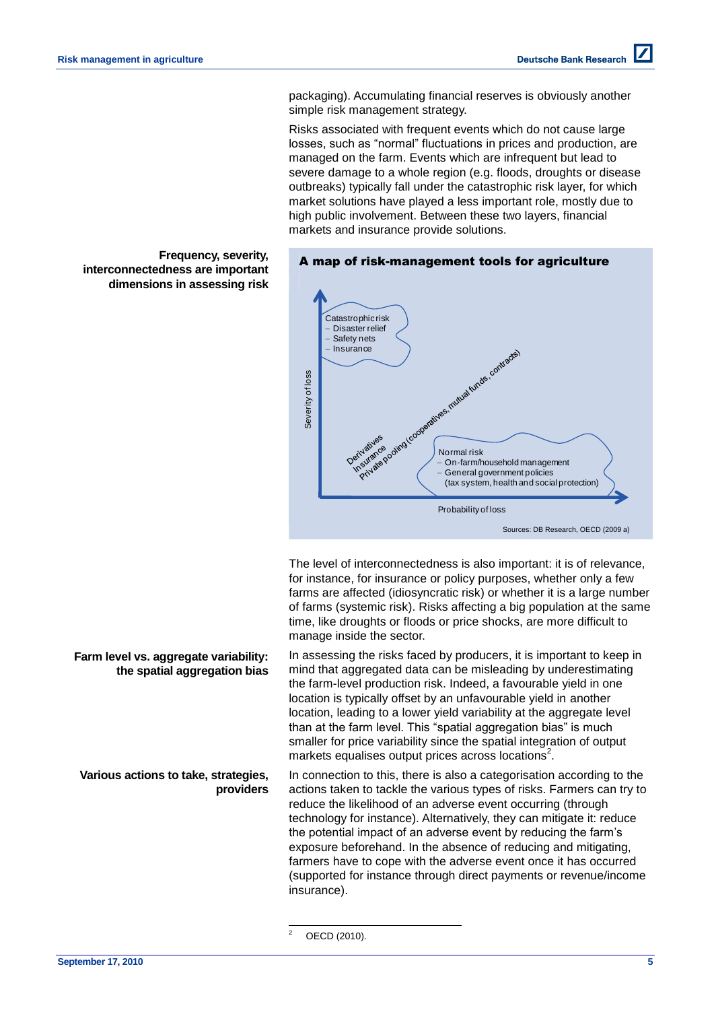packaging). Accumulating financial reserves is obviously another simple risk management strategy.

Risks associated with frequent events which do not cause large losses, such as "normal" fluctuations in prices and production, are managed on the farm. Events which are infrequent but lead to severe damage to a whole region (e.g. floods, droughts or disease outbreaks) typically fall under the catastrophic risk layer, for which market solutions have played a less important role, mostly due to high public involvement. Between these two layers, financial markets and insurance provide solutions.



The level of interconnectedness is also important: it is of relevance, for instance, for insurance or policy purposes, whether only a few farms are affected (idiosyncratic risk) or whether it is a large number of farms (systemic risk). Risks affecting a big population at the same time, like droughts or floods or price shocks, are more difficult to manage inside the sector.

In assessing the risks faced by producers, it is important to keep in mind that aggregated data can be misleading by underestimating the farm-level production risk. Indeed, a favourable yield in one location is typically offset by an unfavourable yield in another location, leading to a lower yield variability at the aggregate level than at the farm level. This "spatial aggregation bias" is much smaller for price variability since the spatial integration of output markets equalises output prices across locations<sup>2</sup>.

In connection to this, there is also a categorisation according to the actions taken to tackle the various types of risks. Farmers can try to reduce the likelihood of an adverse event occurring (through technology for instance). Alternatively, they can mitigate it: reduce the potential impact of an adverse event by reducing the farm's exposure beforehand. In the absence of reducing and mitigating, farmers have to cope with the adverse event once it has occurred (supported for instance through direct payments or revenue/income insurance).

**Frequency, severity, interconnectedness are important dimensions in assessing risk**

### **Farm level vs. aggregate variability: the spatial aggregation bias**

**Various actions to take, strategies, providers**

> $\overline{2}$ OECD (2010).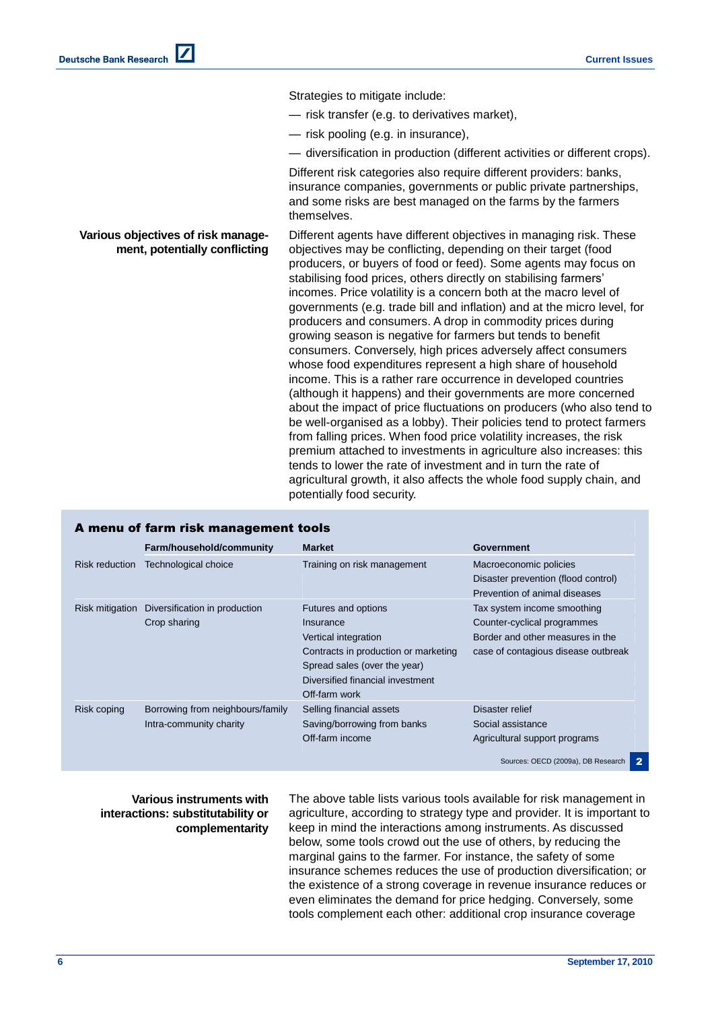Strategies to mitigate include:

- risk transfer (e.g. to derivatives market),
- risk pooling (e.g. in insurance),
- diversification in production (different activities or different crops).

Different risk categories also require different providers: banks, insurance companies, governments or public private partnerships, and some risks are best managed on the farms by the farmers themselves.

Different agents have different objectives in managing risk. These objectives may be conflicting, depending on their target (food producers, or buyers of food or feed). Some agents may focus on stabilising food prices, others directly on stabilising farmers' incomes. Price volatility is a concern both at the macro level of governments (e.g. trade bill and inflation) and at the micro level, for producers and consumers. A drop in commodity prices during growing season is negative for farmers but tends to benefit consumers. Conversely, high prices adversely affect consumers whose food expenditures represent a high share of household income. This is a rather rare occurrence in developed countries (although it happens) and their governments are more concerned about the impact of price fluctuations on producers (who also tend to be well-organised as a lobby). Their policies tend to protect farmers from falling prices. When food price volatility increases, the risk premium attached to investments in agriculture also increases: this tends to lower the rate of investment and in turn the rate of agricultural growth, it also affects the whole food supply chain, and potentially food security.

|  |  |  | A menu of farm risk management tools |  |
|--|--|--|--------------------------------------|--|
|  |  |  |                                      |  |

**Various objectives of risk management, potentially conflicting**

|                 | Farm/household/community                                    | <b>Market</b>                                                                                                                                                                         | <b>Government</b>                                                                                                                     |
|-----------------|-------------------------------------------------------------|---------------------------------------------------------------------------------------------------------------------------------------------------------------------------------------|---------------------------------------------------------------------------------------------------------------------------------------|
| Risk reduction  | Technological choice                                        | Training on risk management                                                                                                                                                           | Macroeconomic policies<br>Disaster prevention (flood control)<br>Prevention of animal diseases                                        |
| Risk mitigation | Diversification in production<br>Crop sharing               | Futures and options<br>Insurance<br>Vertical integration<br>Contracts in production or marketing<br>Spread sales (over the year)<br>Diversified financial investment<br>Off-farm work | Tax system income smoothing<br>Counter-cyclical programmes<br>Border and other measures in the<br>case of contagious disease outbreak |
| Risk coping     | Borrowing from neighbours/family<br>Intra-community charity | Selling financial assets<br>Saving/borrowing from banks<br>Off-farm income                                                                                                            | Disaster relief<br>Social assistance<br>Agricultural support programs<br>Sources: OECD (2009a), DB Research<br>2                      |

### **Various instruments with interactions: substitutability or complementarity**

The above table lists various tools available for risk management in agriculture, according to strategy type and provider. It is important to keep in mind the interactions among instruments. As discussed below, some tools crowd out the use of others, by reducing the marginal gains to the farmer. For instance, the safety of some insurance schemes reduces the use of production diversification; or the existence of a strong coverage in revenue insurance reduces or even eliminates the demand for price hedging. Conversely, some tools complement each other: additional crop insurance coverage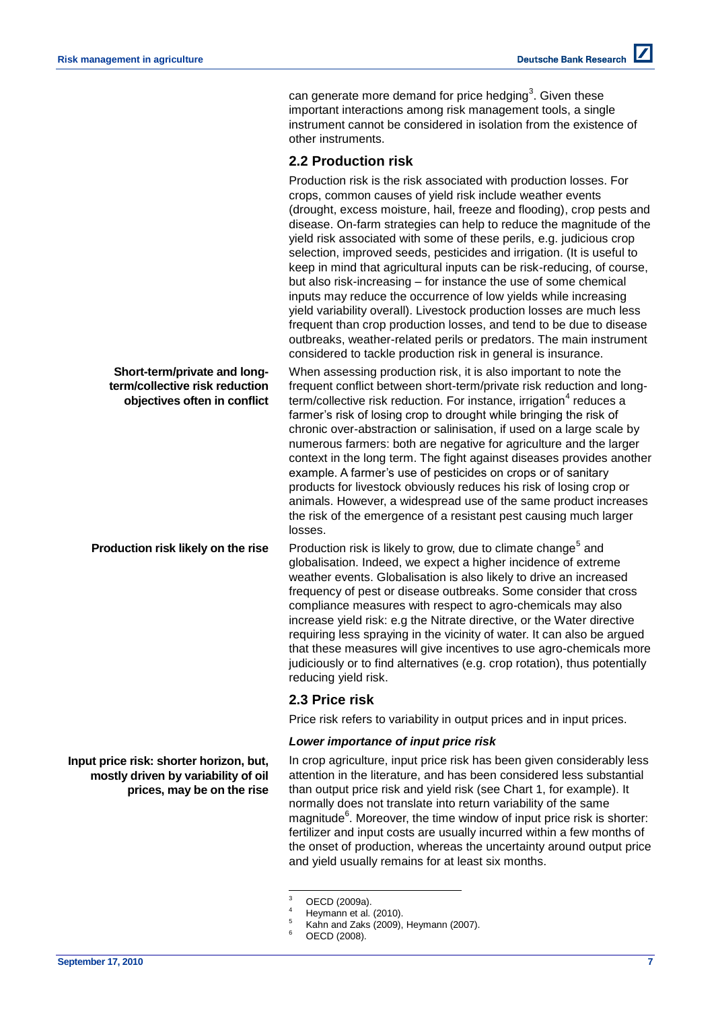can generate more demand for price hedging<sup>3</sup>. Given these important interactions among risk management tools, a single instrument cannot be considered in isolation from the existence of other instruments.

### **2.2 Production risk**

| Short-term/private and long-                                   | Production risk is the risk associated with production losses. For<br>crops, common causes of yield risk include weather events<br>(drought, excess moisture, hail, freeze and flooding), crop pests and<br>disease. On-farm strategies can help to reduce the magnitude of the<br>yield risk associated with some of these perils, e.g. judicious crop<br>selection, improved seeds, pesticides and irrigation. (It is useful to<br>keep in mind that agricultural inputs can be risk-reducing, of course,<br>but also risk-increasing - for instance the use of some chemical<br>inputs may reduce the occurrence of low yields while increasing<br>yield variability overall). Livestock production losses are much less<br>frequent than crop production losses, and tend to be due to disease<br>outbreaks, weather-related perils or predators. The main instrument<br>considered to tackle production risk in general is insurance.<br>When assessing production risk, it is also important to note the |
|----------------------------------------------------------------|----------------------------------------------------------------------------------------------------------------------------------------------------------------------------------------------------------------------------------------------------------------------------------------------------------------------------------------------------------------------------------------------------------------------------------------------------------------------------------------------------------------------------------------------------------------------------------------------------------------------------------------------------------------------------------------------------------------------------------------------------------------------------------------------------------------------------------------------------------------------------------------------------------------------------------------------------------------------------------------------------------------|
| term/collective risk reduction<br>objectives often in conflict | frequent conflict between short-term/private risk reduction and long-<br>term/collective risk reduction. For instance, irrigation <sup>4</sup> reduces a<br>farmer's risk of losing crop to drought while bringing the risk of<br>chronic over-abstraction or salinisation, if used on a large scale by<br>numerous farmers: both are negative for agriculture and the larger<br>context in the long term. The fight against diseases provides another<br>example. A farmer's use of pesticides on crops or of sanitary<br>products for livestock obviously reduces his risk of losing crop or<br>animals. However, a widespread use of the same product increases<br>the risk of the emergence of a resistant pest causing much larger<br>losses.                                                                                                                                                                                                                                                             |
| Production risk likely on the rise                             | Production risk is likely to grow, due to climate change <sup>5</sup> and<br>globalisation. Indeed, we expect a higher incidence of extreme<br>weather events. Globalisation is also likely to drive an increased<br>frequency of pest or disease outbreaks. Some consider that cross<br>compliance measures with respect to agro-chemicals may also<br>increase yield risk: e.g the Nitrate directive, or the Water directive<br>requiring less spraying in the vicinity of water. It can also be argued<br>that these measures will give incentives to use agro-chemicals more<br>judiciously or to find alternatives (e.g. crop rotation), thus potentially<br>reducing yield risk.                                                                                                                                                                                                                                                                                                                         |
|                                                                | 2.3 Price risk                                                                                                                                                                                                                                                                                                                                                                                                                                                                                                                                                                                                                                                                                                                                                                                                                                                                                                                                                                                                 |
|                                                                | Price risk refers to variability in output prices and in input prices.                                                                                                                                                                                                                                                                                                                                                                                                                                                                                                                                                                                                                                                                                                                                                                                                                                                                                                                                         |
|                                                                | Lower importance of input price risk                                                                                                                                                                                                                                                                                                                                                                                                                                                                                                                                                                                                                                                                                                                                                                                                                                                                                                                                                                           |

In crop agriculture, input price risk has been given considerably less attention in the literature, and has been considered less substantial than output price risk and yield risk (see Chart 1, for example). It normally does not translate into return variability of the same magnitude $6$ . Moreover, the time window of input price risk is shorter: fertilizer and input costs are usually incurred within a few months of the onset of production, whereas the uncertainty around output price and yield usually remains for at least six months.

**Input price risk: shorter horizon, but, mostly driven by variability of oil prices, may be on the rise**

 $\overline{3}$  $^{3}$  OECD (2009a).

 $^{4}$  Heymann et al. (2010).

 $^{5}$  Kahn and Zaks (2009), Heymann (2007).

OECD (2008).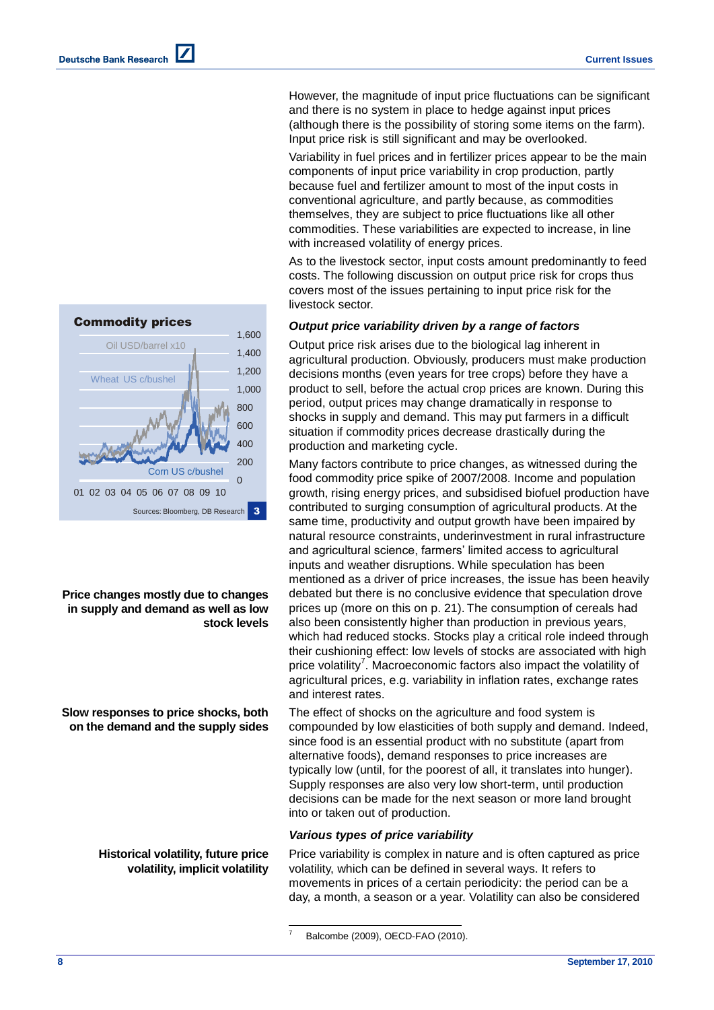$\Omega$ 200 400 600 800 1,000 1,200 1,400 1,600 01 02 03 04 05 06 07 08 09 10 Commodity prices Sources: Bloomberg, DB Research Corn US c/bushel Wheat US c/bushel Oil USD/barrel x10 3

**Price changes mostly due to changes in supply and demand as well as low stock levels**

**Slow responses to price shocks, both on the demand and the supply sides**

> **Historical volatility, future price volatility, implicit volatility**

However, the magnitude of input price fluctuations can be significant and there is no system in place to hedge against input prices (although there is the possibility of storing some items on the farm). Input price risk is still significant and may be overlooked.

Variability in fuel prices and in fertilizer prices appear to be the main components of input price variability in crop production, partly because fuel and fertilizer amount to most of the input costs in conventional agriculture, and partly because, as commodities themselves, they are subject to price fluctuations like all other commodities. These variabilities are expected to increase, in line with increased volatility of energy prices.

As to the livestock sector, input costs amount predominantly to feed costs. The following discussion on output price risk for crops thus covers most of the issues pertaining to input price risk for the livestock sector.

### *Output price variability driven by a range of factors*

Output price risk arises due to the biological lag inherent in agricultural production. Obviously, producers must make production decisions months (even years for tree crops) before they have a product to sell, before the actual crop prices are known. During this period, output prices may change dramatically in response to shocks in supply and demand. This may put farmers in a difficult situation if commodity prices decrease drastically during the production and marketing cycle.

Many factors contribute to price changes, as witnessed during the food commodity price spike of 2007/2008. Income and population growth, rising energy prices, and subsidised biofuel production have contributed to surging consumption of agricultural products. At the same time, productivity and output growth have been impaired by natural resource constraints, underinvestment in rural infrastructure and agricultural science, farmers' limited access to agricultural inputs and weather disruptions. While speculation has been mentioned as a driver of price increases, the issue has been heavily debated but there is no conclusive evidence that speculation drove prices up (more on this on p. 21). The consumption of cereals had also been consistently higher than production in previous years, which had reduced stocks. Stocks play a critical role indeed through their cushioning effect: low levels of stocks are associated with high price volatility<sup>7</sup>. Macroeconomic factors also impact the volatility of agricultural prices, e.g. variability in inflation rates, exchange rates and interest rates.

The effect of shocks on the agriculture and food system is compounded by low elasticities of both supply and demand. Indeed, since food is an essential product with no substitute (apart from alternative foods), demand responses to price increases are typically low (until, for the poorest of all, it translates into hunger). Supply responses are also very low short-term, until production decisions can be made for the next season or more land brought into or taken out of production.

### *Various types of price variability*

Price variability is complex in nature and is often captured as price volatility, which can be defined in several ways. It refers to movements in prices of a certain periodicity: the period can be a day, a month, a season or a year. Volatility can also be considered

l

Balcombe (2009), OECD-FAO (2010).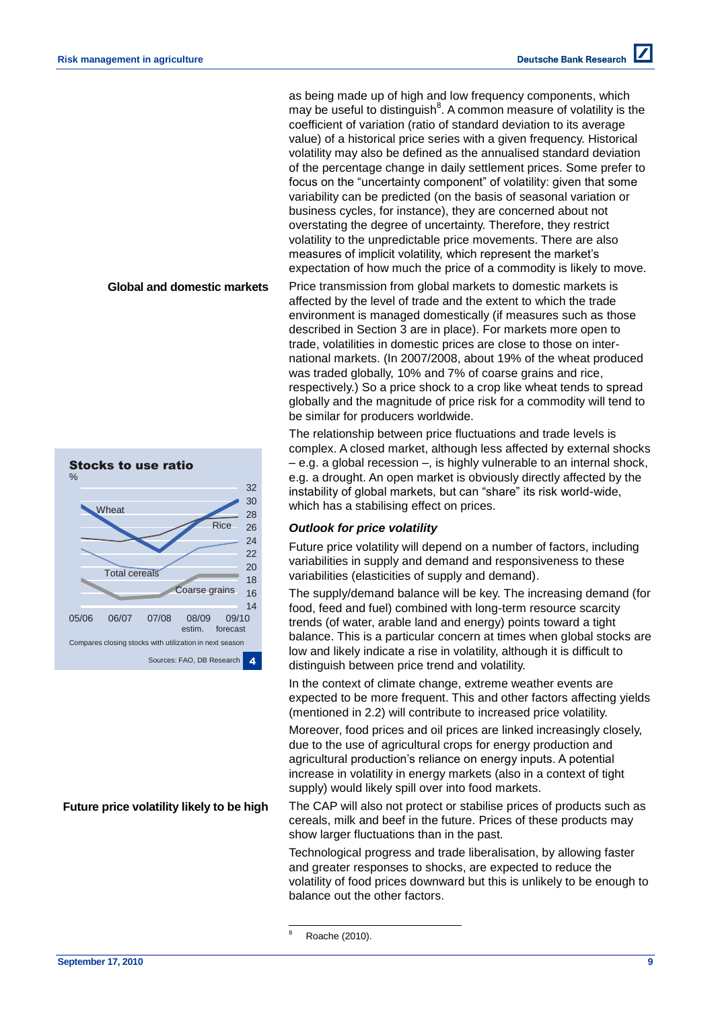as being made up of high and low frequency components, which may be useful to distinguish<sup>8</sup>. A common measure of volatility is the coefficient of variation (ratio of standard deviation to its average value) of a historical price series with a given frequency. Historical volatility may also be defined as the annualised standard deviation of the percentage change in daily settlement prices. Some prefer to focus on the "uncertainty component" of volatility: given that some variability can be predicted (on the basis of seasonal variation or business cycles, for instance), they are concerned about not overstating the degree of uncertainty. Therefore, they restrict volatility to the unpredictable price movements. There are also measures of implicit volatility, which represent the market's expectation of how much the price of a commodity is likely to move.

**Global and domestic markets**



**Future price volatility likely to be high**

Price transmission from global markets to domestic markets is affected by the level of trade and the extent to which the trade environment is managed domestically (if measures such as those described in Section 3 are in place). For markets more open to trade, volatilities in domestic prices are close to those on international markets. (In 2007/2008, about 19% of the wheat produced was traded globally, 10% and 7% of coarse grains and rice, respectively.) So a price shock to a crop like wheat tends to spread globally and the magnitude of price risk for a commodity will tend to be similar for producers worldwide.

The relationship between price fluctuations and trade levels is complex. A closed market, although less affected by external shocks – e.g. a global recession –, is highly vulnerable to an internal shock, e.g. a drought. An open market is obviously directly affected by the instability of global markets, but can "share" its risk world-wide, which has a stabilising effect on prices.

### *Outlook for price volatility*

Future price volatility will depend on a number of factors, including variabilities in supply and demand and responsiveness to these variabilities (elasticities of supply and demand).

The supply/demand balance will be key. The increasing demand (for food, feed and fuel) combined with long-term resource scarcity trends (of water, arable land and energy) points toward a tight balance. This is a particular concern at times when global stocks are low and likely indicate a rise in volatility, although it is difficult to distinguish between price trend and volatility.

In the context of climate change, extreme weather events are expected to be more frequent. This and other factors affecting yields (mentioned in 2.2) will contribute to increased price volatility.

Moreover, food prices and oil prices are linked increasingly closely, due to the use of agricultural crops for energy production and agricultural production's reliance on energy inputs. A potential increase in volatility in energy markets (also in a context of tight supply) would likely spill over into food markets.

The CAP will also not protect or stabilise prices of products such as cereals, milk and beef in the future. Prices of these products may show larger fluctuations than in the past.

Technological progress and trade liberalisation, by allowing faster and greater responses to shocks, are expected to reduce the volatility of food prices downward but this is unlikely to be enough to balance out the other factors.

Roache (2010).

l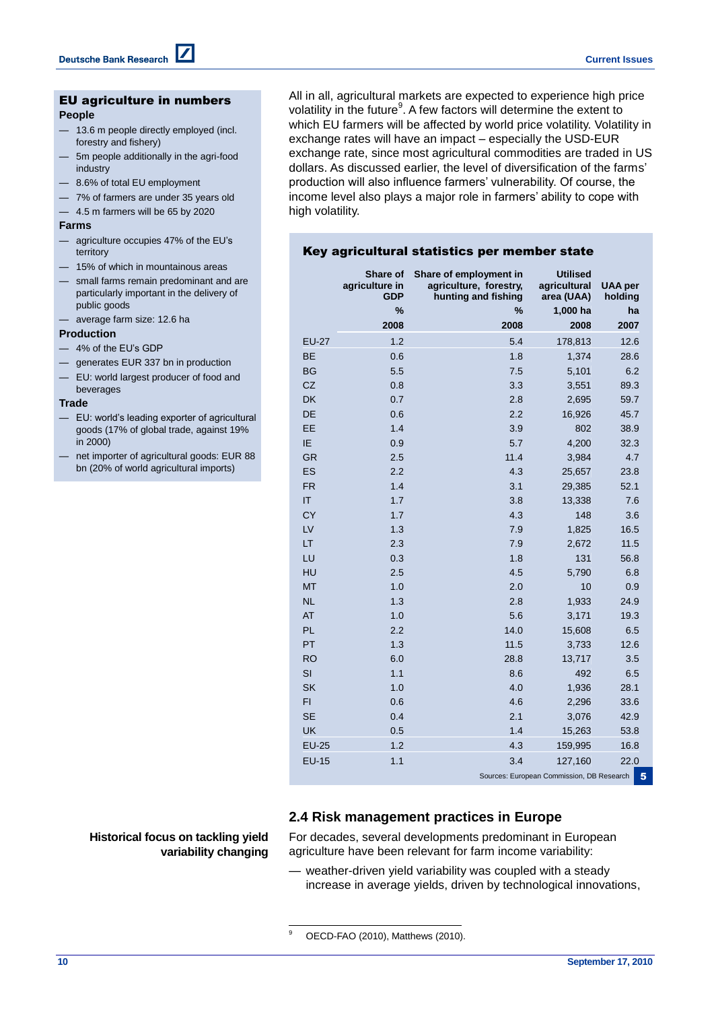#### EU agriculture in numbers **People**

- 13.6 m people directly employed (incl. forestry and fishery)
- 5m people additionally in the agri-food industry
- 8.6% of total EU employment
- 7% of farmers are under 35 years old
- 4.5 m farmers will be 65 by 2020

#### **Farms**

- agriculture occupies 47% of the EU's territory
- 15% of which in mountainous areas
- small farms remain predominant and are particularly important in the delivery of public goods
- average farm size: 12.6 ha

#### **Production**

- 4% of the EU's GDP
- generates EUR 337 bn in production
- EU: world largest producer of food and beverages

#### **Trade**

- EU: world's leading exporter of agricultural goods (17% of global trade, against 19% in 2000)
- net importer of agricultural goods: EUR 88 bn (20% of world agricultural imports)

All in all, agricultural markets are expected to experience high price volatility in the future<sup>9</sup>. A few factors will determine the extent to which EU farmers will be affected by world price volatility. Volatility in exchange rates will have an impact – especially the USD-EUR exchange rate, since most agricultural commodities are traded in US dollars. As discussed earlier, the level of diversification of the farms' production will also influence farmers' vulnerability. Of course, the income level also plays a major role in farmers' ability to cope with high volatility.

### Key agricultural statistics per member state

|              | Share of<br>agriculture in<br><b>GDP</b> | Share of employment in<br>agriculture, forestry,<br>hunting and fishing | <b>Utilised</b><br>agricultural<br>area (UAA) | <b>UAA</b> per<br>holding |
|--------------|------------------------------------------|-------------------------------------------------------------------------|-----------------------------------------------|---------------------------|
|              | %                                        | %                                                                       | 1,000 ha                                      | ha                        |
|              | 2008                                     | 2008                                                                    | 2008                                          | 2007                      |
| <b>EU-27</b> | 1.2                                      | 5.4                                                                     | 178,813                                       | 12.6                      |
| <b>BE</b>    | 0.6                                      | 1.8                                                                     | 1,374                                         | 28.6                      |
| <b>BG</b>    | 5.5                                      | 7.5                                                                     | 5,101                                         | 6.2                       |
| CZ           | 0.8                                      | 3.3                                                                     | 3,551                                         | 89.3                      |
| <b>DK</b>    | 0.7                                      | 2.8                                                                     | 2,695                                         | 59.7                      |
| DE           | 0.6                                      | 2.2                                                                     | 16,926                                        | 45.7                      |
| EE           | 1.4                                      | 3.9                                                                     | 802                                           | 38.9                      |
| IE           | 0.9                                      | 5.7                                                                     | 4,200                                         | 32.3                      |
| <b>GR</b>    | 2.5                                      | 11.4                                                                    | 3,984                                         | 4.7                       |
| ES           | 2.2                                      | 4.3                                                                     | 25,657                                        | 23.8                      |
| <b>FR</b>    | 1.4                                      | 3.1                                                                     | 29,385                                        | 52.1                      |
| IT           | 1.7                                      | 3.8                                                                     | 13,338                                        | 7.6                       |
| <b>CY</b>    | 1.7                                      | 4.3                                                                     | 148                                           | 3.6                       |
| LV           | 1.3                                      | 7.9                                                                     | 1,825                                         | 16.5                      |
| LT           | 2.3                                      | 7.9                                                                     | 2,672                                         | 11.5                      |
| LU           | 0.3                                      | 1.8                                                                     | 131                                           | 56.8                      |
| HU           | 2.5                                      | 4.5                                                                     | 5,790                                         | 6.8                       |
| <b>MT</b>    | 1.0                                      | 2.0                                                                     | 10                                            | 0.9                       |
| <b>NL</b>    | 1.3                                      | 2.8                                                                     | 1,933                                         | 24.9                      |
| <b>AT</b>    | 1.0                                      | 5.6                                                                     | 3,171                                         | 19.3                      |
| PL           | 2.2                                      | 14.0                                                                    | 15,608                                        | 6.5                       |
| PT           | 1.3                                      | 11.5                                                                    | 3,733                                         | 12.6                      |
| <b>RO</b>    | 6.0                                      | 28.8                                                                    | 13,717                                        | 3.5                       |
| SI           | 1.1                                      | 8.6                                                                     | 492                                           | 6.5                       |
| <b>SK</b>    | 1.0                                      | 4.0                                                                     | 1,936                                         | 28.1                      |
| FI           | 0.6                                      | 4.6                                                                     | 2,296                                         | 33.6                      |
| <b>SE</b>    | 0.4                                      | 2.1                                                                     | 3,076                                         | 42.9                      |
| <b>UK</b>    | 0.5                                      | 1.4                                                                     | 15,263                                        | 53.8                      |
| <b>EU-25</b> | 1.2                                      | 4.3                                                                     | 159,995                                       | 16.8                      |
| <b>EU-15</b> | 1.1                                      | 3.4                                                                     | 127,160                                       | 22.0                      |
|              |                                          |                                                                         | Sources: European Commission, DB Research     | 5                         |

### **2.4 Risk management practices in Europe**

**Historical focus on tackling yield variability changing** For decades, several developments predominant in European agriculture have been relevant for farm income variability:

— weather-driven yield variability was coupled with a steady increase in average yields, driven by technological innovations,

 $\overline{9}$ OECD-FAO (2010), Matthews (2010).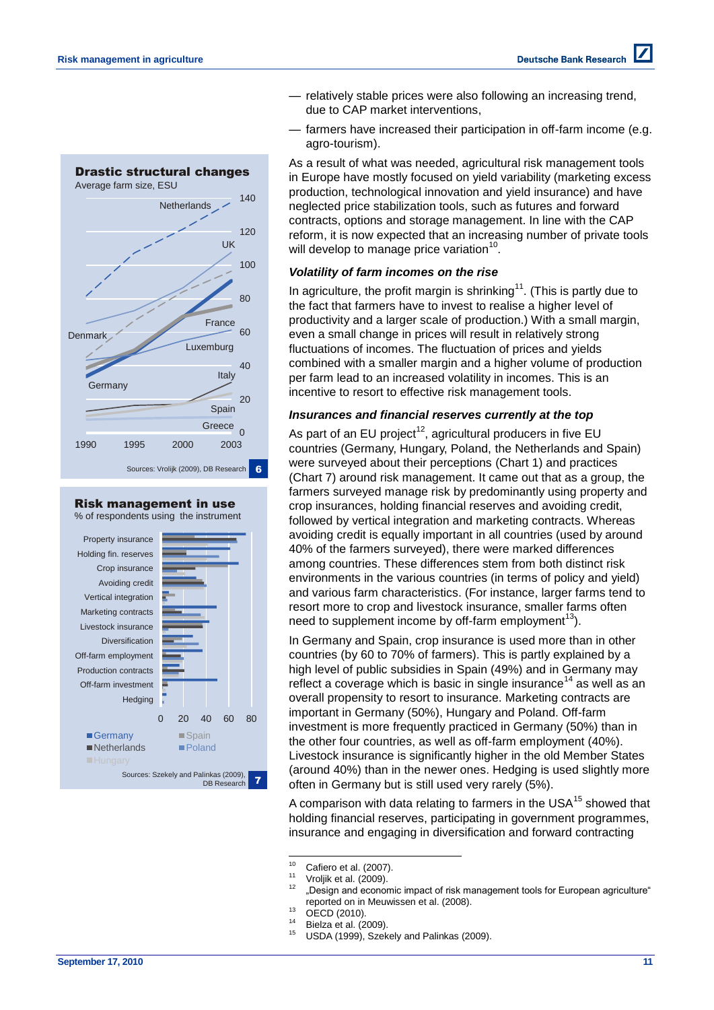

# Risk management in use

% of respondents using the instrument



- relatively stable prices were also following an increasing trend, due to CAP market interventions,
- farmers have increased their participation in off-farm income (e.g. agro-tourism).

As a result of what was needed, agricultural risk management tools in Europe have mostly focused on yield variability (marketing excess production, technological innovation and yield insurance) and have neglected price stabilization tools, such as futures and forward contracts, options and storage management. In line with the CAP reform, it is now expected that an increasing number of private tools will develop to manage price variation $^{10}$ .

### *Volatility of farm incomes on the rise*

In agriculture, the profit margin is shrinking<sup>11</sup>. (This is partly due to the fact that farmers have to invest to realise a higher level of productivity and a larger scale of production.) With a small margin, even a small change in prices will result in relatively strong fluctuations of incomes. The fluctuation of prices and yields combined with a smaller margin and a higher volume of production per farm lead to an increased volatility in incomes. This is an incentive to resort to effective risk management tools.

### *Insurances and financial reserves currently at the top*

As part of an EU project<sup>12</sup>, agricultural producers in five EU countries (Germany, Hungary, Poland, the Netherlands and Spain) were surveyed about their perceptions (Chart 1) and practices (Chart 7) around risk management. It came out that as a group, the farmers surveyed manage risk by predominantly using property and crop insurances, holding financial reserves and avoiding credit, followed by vertical integration and marketing contracts. Whereas avoiding credit is equally important in all countries (used by around 40% of the farmers surveyed), there were marked differences among countries. These differences stem from both distinct risk environments in the various countries (in terms of policy and yield) and various farm characteristics. (For instance, larger farms tend to resort more to crop and livestock insurance, smaller farms often need to supplement income by off-farm employment<sup>13</sup>).

In Germany and Spain, crop insurance is used more than in other countries (by 60 to 70% of farmers). This is partly explained by a high level of public subsidies in Spain (49%) and in Germany may reflect a coverage which is basic in single insurance<sup>14</sup> as well as an overall propensity to resort to insurance. Marketing contracts are important in Germany (50%), Hungary and Poland. Off-farm investment is more frequently practiced in Germany (50%) than in the other four countries, as well as off-farm employment (40%). Livestock insurance is significantly higher in the old Member States (around 40%) than in the newer ones. Hedging is used slightly more often in Germany but is still used very rarely (5%).

A comparison with data relating to farmers in the USA<sup>15</sup> showed that holding financial reserves, participating in government programmes, insurance and engaging in diversification and forward contracting

- $11$  Vroljik et al. (2009).
- "Design and economic impact of risk management tools for European agriculture" reported on in Meuwissen et al. (2008).
- $^{13}$  OECD (2010).
- $^{14}$  Bielza et al. (2009).
- USDA (1999), Szekely and Palinkas (2009).

 $10$ <sup>10</sup> Cafiero et al. (2007).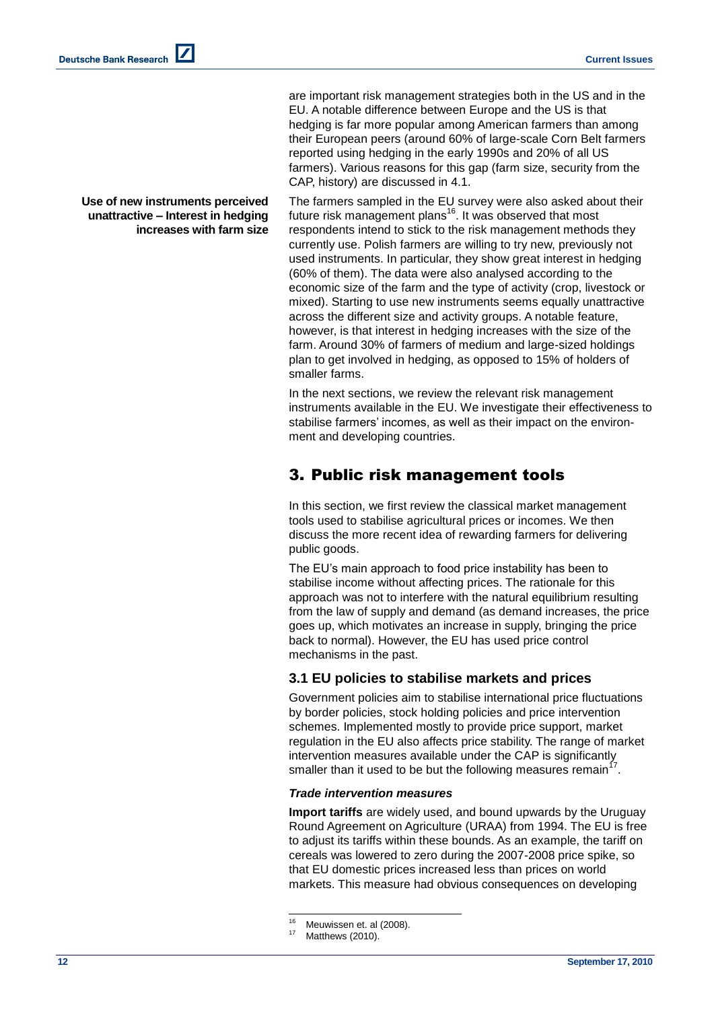**Deutsche Bank Research** 

**Use of new instruments perceived unattractive – Interest in hedging** 

**increases with farm size**

are important risk management strategies both in the US and in the EU. A notable difference between Europe and the US is that hedging is far more popular among American farmers than among their European peers (around 60% of large-scale Corn Belt farmers reported using hedging in the early 1990s and 20% of all US farmers). Various reasons for this gap (farm size, security from the CAP, history) are discussed in 4.1.

The farmers sampled in the EU survey were also asked about their future risk management plans<sup>16</sup>. It was observed that most respondents intend to stick to the risk management methods they currently use. Polish farmers are willing to try new, previously not used instruments. In particular, they show great interest in hedging (60% of them). The data were also analysed according to the economic size of the farm and the type of activity (crop, livestock or mixed). Starting to use new instruments seems equally unattractive across the different size and activity groups. A notable feature, however, is that interest in hedging increases with the size of the farm. Around 30% of farmers of medium and large-sized holdings plan to get involved in hedging, as opposed to 15% of holders of smaller farms.

In the next sections, we review the relevant risk management instruments available in the EU. We investigate their effectiveness to stabilise farmers' incomes, as well as their impact on the environment and developing countries.

# 3. Public risk management tools

In this section, we first review the classical market management tools used to stabilise agricultural prices or incomes. We then discuss the more recent idea of rewarding farmers for delivering public goods.

The EU's main approach to food price instability has been to stabilise income without affecting prices. The rationale for this approach was not to interfere with the natural equilibrium resulting from the law of supply and demand (as demand increases, the price goes up, which motivates an increase in supply, bringing the price back to normal). However, the EU has used price control mechanisms in the past.

### **3.1 EU policies to stabilise markets and prices**

Government policies aim to stabilise international price fluctuations by border policies, stock holding policies and price intervention schemes. Implemented mostly to provide price support, market regulation in the EU also affects price stability. The range of market intervention measures available under the CAP is significantly smaller than it used to be but the following measures remain<sup>17</sup>.

### *Trade intervention measures*

**Import tariffs** are widely used, and bound upwards by the Uruguay Round Agreement on Agriculture (URAA) from 1994. The EU is free to adjust its tariffs within these bounds. As an example, the tariff on cereals was lowered to zero during the 2007-2008 price spike, so that EU domestic prices increased less than prices on world markets. This measure had obvious consequences on developing

<sup>16</sup> <sup>16</sup> Meuwissen et. al (2008).

Matthews (2010).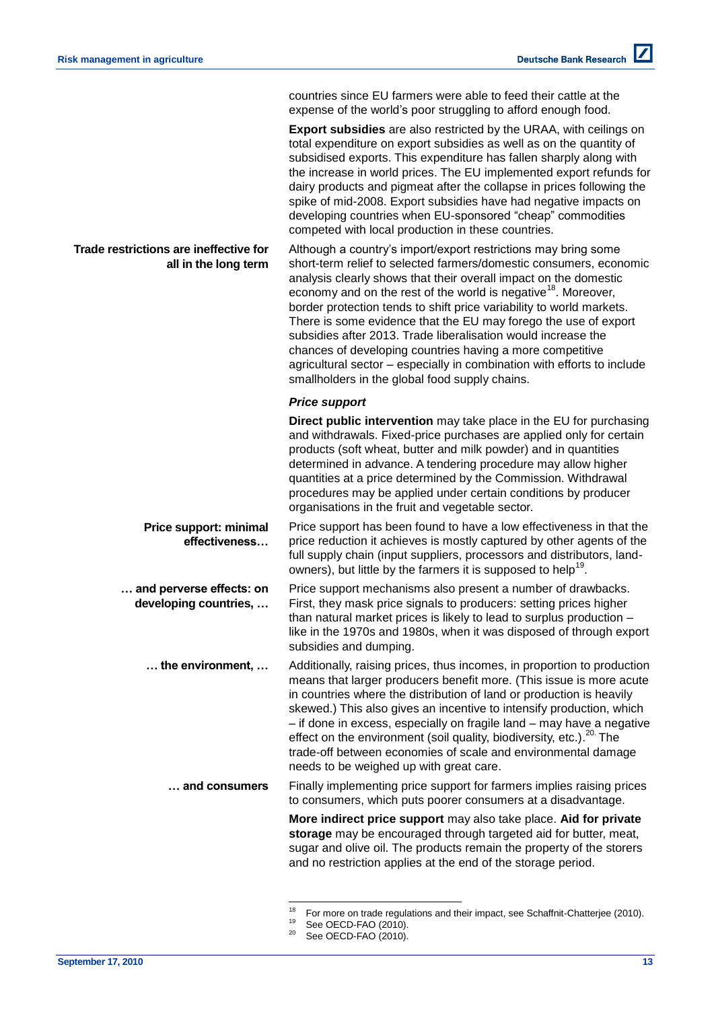countries since EU farmers were able to feed their cattle at the expense of the world's poor struggling to afford enough food.

**Export subsidies** are also restricted by the URAA, with ceilings on total expenditure on export subsidies as well as on the quantity of subsidised exports. This expenditure has fallen sharply along with the increase in world prices. The EU implemented export refunds for dairy products and pigmeat after the collapse in prices following the spike of mid-2008. Export subsidies have had negative impacts on developing countries when EU-sponsored "cheap" commodities competed with local production in these countries.

**Trade restrictions are ineffective for all in the long term** Although a country's import/export restrictions may bring some short-term relief to selected farmers/domestic consumers, economic analysis clearly shows that their overall impact on the domestic economy and on the rest of the world is negative<sup>18</sup>. Moreover, border protection tends to shift price variability to world markets. There is some evidence that the EU may forego the use of export subsidies after 2013. Trade liberalisation would increase the chances of developing countries having a more competitive agricultural sector – especially in combination with efforts to include smallholders in the global food supply chains.

### *Price support*

**Direct public intervention** may take place in the EU for purchasing and withdrawals. Fixed-price purchases are applied only for certain products (soft wheat, butter and milk powder) and in quantities determined in advance. A tendering procedure may allow higher quantities at a price determined by the Commission. Withdrawal procedures may be applied under certain conditions by producer organisations in the fruit and vegetable sector.

**Price support: minimal effectiveness…** Price support has been found to have a low effectiveness in that the price reduction it achieves is mostly captured by other agents of the full supply chain (input suppliers, processors and distributors, landowners), but little by the farmers it is supposed to help<sup>19</sup>.

**… and perverse effects: on developing countries, …** Price support mechanisms also present a number of drawbacks. First, they mask price signals to producers: setting prices higher than natural market prices is likely to lead to surplus production – like in the 1970s and 1980s, when it was disposed of through export subsidies and dumping.

**… the environment, …** Additionally, raising prices, thus incomes, in proportion to production means that larger producers benefit more. (This issue is more acute in countries where the distribution of land or production is heavily skewed.) This also gives an incentive to intensify production, which – if done in excess, especially on fragile land – may have a negative effect on the environment (soil quality, biodiversity, etc.).<sup>20</sup> The trade-off between economies of scale and environmental damage needs to be weighed up with great care.

#### **… and consumers** Finally implementing price support for farmers implies raising prices to consumers, which puts poorer consumers at a disadvantage.

**More indirect price support** may also take place. **Aid for private storage** may be encouraged through targeted aid for butter, meat, sugar and olive oil. The products remain the property of the storers and no restriction applies at the end of the storage period.

<sup>18</sup> <sup>18</sup> For more on trade regulations and their impact, see Schaffnit-Chatterjee (2010).

<sup>&</sup>lt;sup>19</sup> See OECD-FAO (2010).

See OECD-FAO (2010).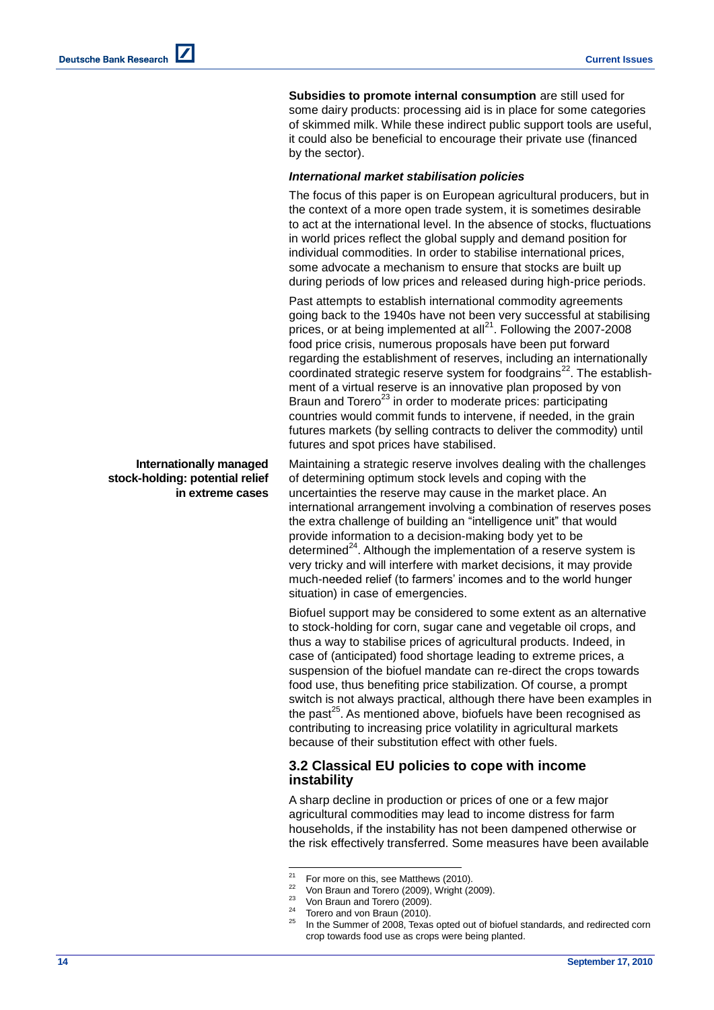**Subsidies to promote internal consumption** are still used for some dairy products: processing aid is in place for some categories of skimmed milk. While these indirect public support tools are useful, it could also be beneficial to encourage their private use (financed by the sector).

### *International market stabilisation policies*

The focus of this paper is on European agricultural producers, but in the context of a more open trade system, it is sometimes desirable to act at the international level. In the absence of stocks, fluctuations in world prices reflect the global supply and demand position for individual commodities. In order to stabilise international prices, some advocate a mechanism to ensure that stocks are built up during periods of low prices and released during high-price periods.

Past attempts to establish international commodity agreements going back to the 1940s have not been very successful at stabilising prices, or at being implemented at all $^{21}$ . Following the 2007-2008 food price crisis, numerous proposals have been put forward regarding the establishment of reserves, including an internationally coordinated strategic reserve system for foodgrains<sup>22</sup>. The establishment of a virtual reserve is an innovative plan proposed by von Braun and Torero<sup>23</sup> in order to moderate prices: participating countries would commit funds to intervene, if needed, in the grain futures markets (by selling contracts to deliver the commodity) until futures and spot prices have stabilised.

Maintaining a strategic reserve involves dealing with the challenges of determining optimum stock levels and coping with the uncertainties the reserve may cause in the market place. An international arrangement involving a combination of reserves poses the extra challenge of building an "intelligence unit" that would provide information to a decision-making body yet to be determined $^{24}$ . Although the implementation of a reserve system is very tricky and will interfere with market decisions, it may provide much-needed relief (to farmers' incomes and to the world hunger situation) in case of emergencies.

Biofuel support may be considered to some extent as an alternative to stock-holding for corn, sugar cane and vegetable oil crops, and thus a way to stabilise prices of agricultural products. Indeed, in case of (anticipated) food shortage leading to extreme prices, a suspension of the biofuel mandate can re-direct the crops towards food use, thus benefiting price stabilization. Of course, a prompt switch is not always practical, although there have been examples in the past<sup>25</sup>. As mentioned above, biofuels have been recognised as contributing to increasing price volatility in agricultural markets because of their substitution effect with other fuels.

### **3.2 Classical EU policies to cope with income instability**

A sharp decline in production or prices of one or a few major agricultural commodities may lead to income distress for farm households, if the instability has not been dampened otherwise or the risk effectively transferred. Some measures have been available

### **Internationally managed stock-holding: potential relief in extreme cases**

 $21$ <sup>21</sup> For more on this, see Matthews (2010).

 $\frac{22}{23}$  Von Braun and Torero (2009), Wright (2009).

 $\frac{23}{24}$  Von Braun and Torero (2009).

Torero and von Braun (2010).

In the Summer of 2008, Texas opted out of biofuel standards, and redirected corn crop towards food use as crops were being planted.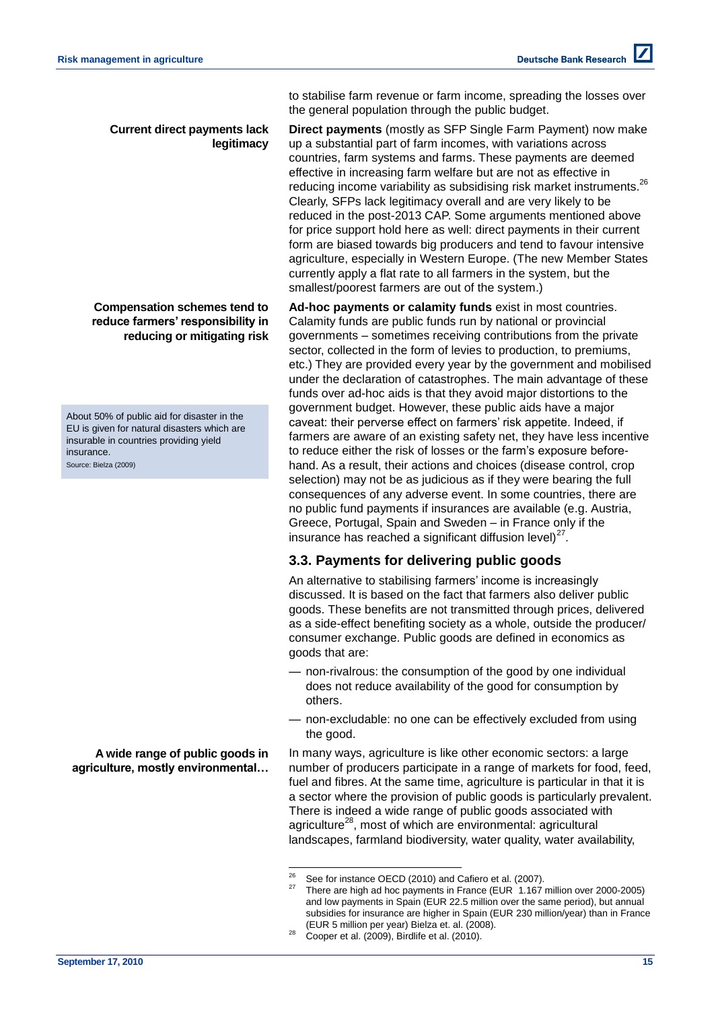to stabilise farm revenue or farm income, spreading the losses over the general population through the public budget.

### **Current direct payments lack legitimacy**

**Compensation schemes tend to reduce farmers' responsibility in reducing or mitigating risk** 

About 50% of public aid for disaster in the EU is given for natural disasters which are insurable in countries providing yield insurance. Source: Bielza (2009)

**A wide range of public goods in agriculture, mostly environmental…** 

**Direct payments** (mostly as SFP Single Farm Payment) now make up a substantial part of farm incomes, with variations across countries, farm systems and farms. These payments are deemed effective in increasing farm welfare but are not as effective in reducing income variability as subsidising risk market instruments.<sup>26</sup> Clearly, SFPs lack legitimacy overall and are very likely to be reduced in the post-2013 CAP. Some arguments mentioned above for price support hold here as well: direct payments in their current form are biased towards big producers and tend to favour intensive agriculture, especially in Western Europe. (The new Member States currently apply a flat rate to all farmers in the system, but the smallest/poorest farmers are out of the system.)

**Ad-hoc payments or calamity funds** exist in most countries. Calamity funds are public funds run by national or provincial governments – sometimes receiving contributions from the private sector, collected in the form of levies to production, to premiums, etc.) They are provided every year by the government and mobilised under the declaration of catastrophes. The main advantage of these funds over ad-hoc aids is that they avoid major distortions to the government budget. However, these public aids have a major caveat: their perverse effect on farmers' risk appetite. Indeed, if farmers are aware of an existing safety net, they have less incentive to reduce either the risk of losses or the farm's exposure beforehand. As a result, their actions and choices (disease control, crop selection) may not be as judicious as if they were bearing the full consequences of any adverse event. In some countries, there are no public fund payments if insurances are available (e.g. Austria, Greece, Portugal, Spain and Sweden – in France only if the insurance has reached a significant diffusion level) $^{27}$ .

## **3.3. Payments for delivering public goods**

An alternative to stabilising farmers' income is increasingly discussed. It is based on the fact that farmers also deliver public goods. These benefits are not transmitted through prices, delivered as a side-effect benefiting society as a whole, outside the producer/ consumer exchange. Public goods are defined in economics as goods that are:

- non-rivalrous: the consumption of the good by one individual does not reduce availability of the good for consumption by others.
- non-excludable: no one can be effectively excluded from using the good.

In many ways, agriculture is like other economic sectors: a large number of producers participate in a range of markets for food, feed, fuel and fibres. At the same time, agriculture is particular in that it is a sector where the provision of public goods is particularly prevalent. There is indeed a wide range of public goods associated with agriculture<sup>28</sup>, most of which are environmental: agricultural landscapes, farmland biodiversity, water quality, water availability,

l

See for instance OECD (2010) and Cafiero et al. (2007).

There are high ad hoc payments in France (EUR 1.167 million over 2000-2005) and low payments in Spain (EUR 22.5 million over the same period), but annual subsidies for insurance are higher in Spain (EUR 230 million/year) than in France (EUR 5 million per year) Bielza et. al. (2008).

 $28$  Cooper et al. (2009), Birdlife et al. (2010).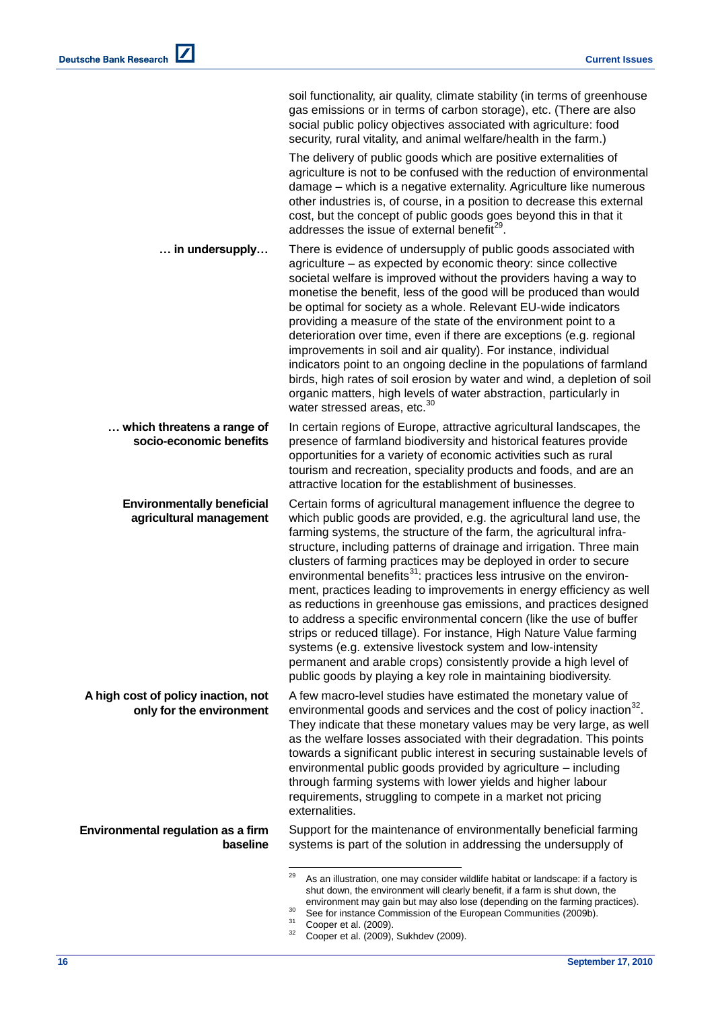|                                                                 | soil functionality, air quality, climate stability (in terms of greenhouse<br>gas emissions or in terms of carbon storage), etc. (There are also<br>social public policy objectives associated with agriculture: food<br>security, rural vitality, and animal welfare/health in the farm.)                                                                                                                                                                                                                                                                                                                                                                                                                                                                                                                                                                                                                                                     |
|-----------------------------------------------------------------|------------------------------------------------------------------------------------------------------------------------------------------------------------------------------------------------------------------------------------------------------------------------------------------------------------------------------------------------------------------------------------------------------------------------------------------------------------------------------------------------------------------------------------------------------------------------------------------------------------------------------------------------------------------------------------------------------------------------------------------------------------------------------------------------------------------------------------------------------------------------------------------------------------------------------------------------|
|                                                                 | The delivery of public goods which are positive externalities of<br>agriculture is not to be confused with the reduction of environmental<br>damage - which is a negative externality. Agriculture like numerous<br>other industries is, of course, in a position to decrease this external<br>cost, but the concept of public goods goes beyond this in that it<br>addresses the issue of external benefit <sup>29</sup> .                                                                                                                                                                                                                                                                                                                                                                                                                                                                                                                    |
| in undersupply                                                  | There is evidence of undersupply of public goods associated with<br>agriculture – as expected by economic theory: since collective<br>societal welfare is improved without the providers having a way to<br>monetise the benefit, less of the good will be produced than would<br>be optimal for society as a whole. Relevant EU-wide indicators<br>providing a measure of the state of the environment point to a<br>deterioration over time, even if there are exceptions (e.g. regional<br>improvements in soil and air quality). For instance, individual<br>indicators point to an ongoing decline in the populations of farmland<br>birds, high rates of soil erosion by water and wind, a depletion of soil<br>organic matters, high levels of water abstraction, particularly in<br>water stressed areas, etc. <sup>30</sup>                                                                                                           |
| which threatens a range of<br>socio-economic benefits           | In certain regions of Europe, attractive agricultural landscapes, the<br>presence of farmland biodiversity and historical features provide<br>opportunities for a variety of economic activities such as rural<br>tourism and recreation, speciality products and foods, and are an<br>attractive location for the establishment of businesses.                                                                                                                                                                                                                                                                                                                                                                                                                                                                                                                                                                                                |
| <b>Environmentally beneficial</b><br>agricultural management    | Certain forms of agricultural management influence the degree to<br>which public goods are provided, e.g. the agricultural land use, the<br>farming systems, the structure of the farm, the agricultural infra-<br>structure, including patterns of drainage and irrigation. Three main<br>clusters of farming practices may be deployed in order to secure<br>environmental benefits <sup>31</sup> : practices less intrusive on the environ-<br>ment, practices leading to improvements in energy efficiency as well<br>as reductions in greenhouse gas emissions, and practices designed<br>to address a specific environmental concern (like the use of buffer<br>strips or reduced tillage). For instance, High Nature Value farming<br>systems (e.g. extensive livestock system and low-intensity<br>permanent and arable crops) consistently provide a high level of<br>public goods by playing a key role in maintaining biodiversity. |
| A high cost of policy inaction, not<br>only for the environment | A few macro-level studies have estimated the monetary value of<br>environmental goods and services and the cost of policy inaction <sup>32</sup> .<br>They indicate that these monetary values may be very large, as well<br>as the welfare losses associated with their degradation. This points<br>towards a significant public interest in securing sustainable levels of<br>environmental public goods provided by agriculture - including<br>through farming systems with lower yields and higher labour<br>requirements, struggling to compete in a market not pricing<br>externalities.                                                                                                                                                                                                                                                                                                                                                 |
| Environmental regulation as a firm<br>baseline                  | Support for the maintenance of environmentally beneficial farming<br>systems is part of the solution in addressing the undersupply of                                                                                                                                                                                                                                                                                                                                                                                                                                                                                                                                                                                                                                                                                                                                                                                                          |
|                                                                 | 29<br>As an illustration, one may consider wildlife habitat or landscape: if a factory is                                                                                                                                                                                                                                                                                                                                                                                                                                                                                                                                                                                                                                                                                                                                                                                                                                                      |

 $29$  As an illustration, one may consider wildlife habitat or landscape: if a factory is shut down, the environment will clearly benefit, if a farm is shut down, the environment may gain but may also lose (depending on the farming practices).

 $30$  See for instance Commission of the European Communities (2009b).

 $31$  Cooper et al. (2009).

 $32$  Cooper et al. (2009), Sukhdev (2009).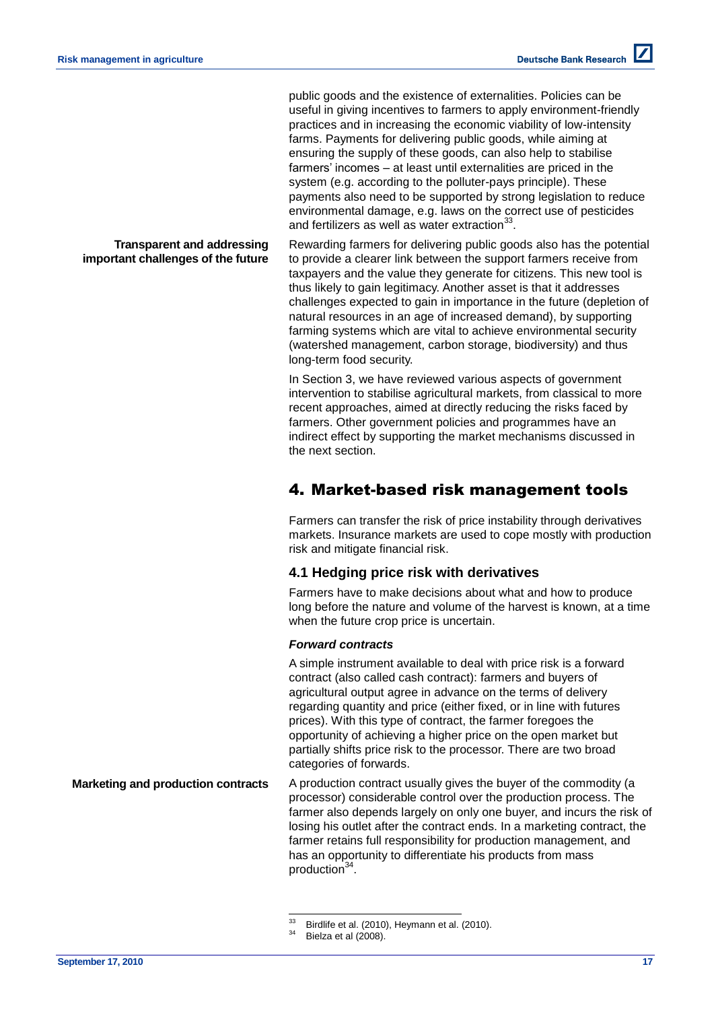**Transparent and addressing important challenges of the future**  public goods and the existence of externalities. Policies can be useful in giving incentives to farmers to apply environment-friendly practices and in increasing the economic viability of low-intensity farms. Payments for delivering public goods, while aiming at ensuring the supply of these goods, can also help to stabilise farmers' incomes – at least until externalities are priced in the system (e.g. according to the polluter-pays principle). These payments also need to be supported by strong legislation to reduce environmental damage, e.g. laws on the correct use of pesticides and fertilizers as well as water extraction $^{33}$ .

Rewarding farmers for delivering public goods also has the potential to provide a clearer link between the support farmers receive from taxpayers and the value they generate for citizens. This new tool is thus likely to gain legitimacy. Another asset is that it addresses challenges expected to gain in importance in the future (depletion of natural resources in an age of increased demand), by supporting farming systems which are vital to achieve environmental security (watershed management, carbon storage, biodiversity) and thus long-term food security.

In Section 3, we have reviewed various aspects of government intervention to stabilise agricultural markets, from classical to more recent approaches, aimed at directly reducing the risks faced by farmers. Other government policies and programmes have an indirect effect by supporting the market mechanisms discussed in the next section.

# 4. Market-based risk management tools

Farmers can transfer the risk of price instability through derivatives markets. Insurance markets are used to cope mostly with production risk and mitigate financial risk.

### **4.1 Hedging price risk with derivatives**

Farmers have to make decisions about what and how to produce long before the nature and volume of the harvest is known, at a time when the future crop price is uncertain.

### *Forward contracts*

A simple instrument available to deal with price risk is a forward contract (also called cash contract): farmers and buyers of agricultural output agree in advance on the terms of delivery regarding quantity and price (either fixed, or in line with futures prices). With this type of contract, the farmer foregoes the opportunity of achieving a higher price on the open market but partially shifts price risk to the processor. There are two broad categories of forwards.

**Marketing and production contracts** A production contract usually gives the buyer of the commodity (a processor) considerable control over the production process. The farmer also depends largely on only one buyer, and incurs the risk of losing his outlet after the contract ends. In a marketing contract, the farmer retains full responsibility for production management, and has an opportunity to differentiate his products from mass production<sup>34</sup>.

<sup>33</sup>  $33$  Birdlife et al. (2010), Heymann et al. (2010).

Bielza et al (2008).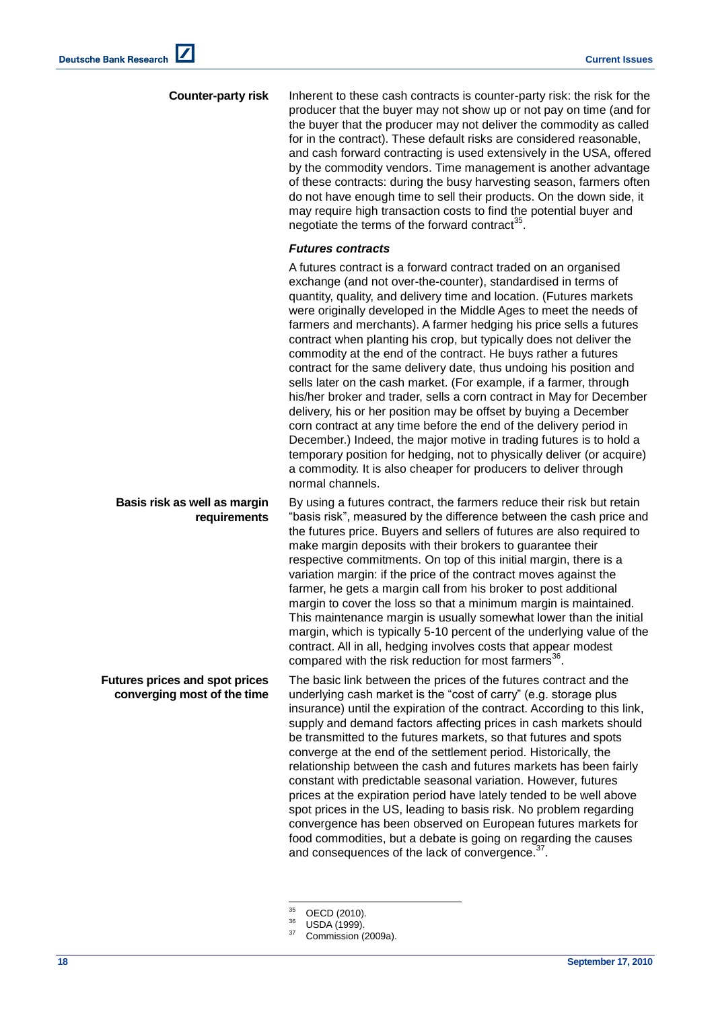**Counter-party risk** Inherent to these cash contracts is counter-party risk: the risk for the producer that the buyer may not show up or not pay on time (and for the buyer that the producer may not deliver the commodity as called for in the contract). These default risks are considered reasonable, and cash forward contracting is used extensively in the USA, offered by the commodity vendors. Time management is another advantage of these contracts: during the busy harvesting season, farmers often do not have enough time to sell their products. On the down side, it may require high transaction costs to find the potential buyer and negotiate the terms of the forward contract<sup>35</sup>.

#### *Futures contracts*

A futures contract is a forward contract traded on an organised exchange (and not over-the-counter), standardised in terms of quantity, quality, and delivery time and location. (Futures markets were originally developed in the Middle Ages to meet the needs of farmers and merchants). A farmer hedging his price sells a futures contract when planting his crop, but typically does not deliver the commodity at the end of the contract. He buys rather a futures contract for the same delivery date, thus undoing his position and sells later on the cash market. (For example, if a farmer, through his/her broker and trader, sells a corn contract in May for December delivery, his or her position may be offset by buying a December corn contract at any time before the end of the delivery period in December.) Indeed, the major motive in trading futures is to hold a temporary position for hedging, not to physically deliver (or acquire) a commodity. It is also cheaper for producers to deliver through normal channels.

**Basis risk as well as margin requirements** By using a futures contract, the farmers reduce their risk but retain "basis risk", measured by the difference between the cash price and the futures price. Buyers and sellers of futures are also required to make margin deposits with their brokers to quarantee their respective commitments. On top of this initial margin, there is a variation margin: if the price of the contract moves against the farmer, he gets a margin call from his broker to post additional margin to cover the loss so that a minimum margin is maintained. This maintenance margin is usually somewhat lower than the initial margin, which is typically 5-10 percent of the underlying value of the contract. All in all, hedging involves costs that appear modest compared with the risk reduction for most farmers<sup>36</sup>.

**Futures prices and spot prices converging most of the time** The basic link between the prices of the futures contract and the underlying cash market is the "cost of carry" (e.g. storage plus insurance) until the expiration of the contract. According to this link, supply and demand factors affecting prices in cash markets should be transmitted to the futures markets, so that futures and spots converge at the end of the settlement period. Historically, the relationship between the cash and futures markets has been fairly constant with predictable seasonal variation. However, futures prices at the expiration period have lately tended to be well above spot prices in the US, leading to basis risk. No problem regarding convergence has been observed on European futures markets for food commodities, but a debate is going on regarding the causes and consequences of the lack of convergence.<sup>3</sup> .

 $35^{\circ}$  $^{35}$  OECD (2010).

 $\frac{36}{37}$  USDA (1999).

Commission (2009a).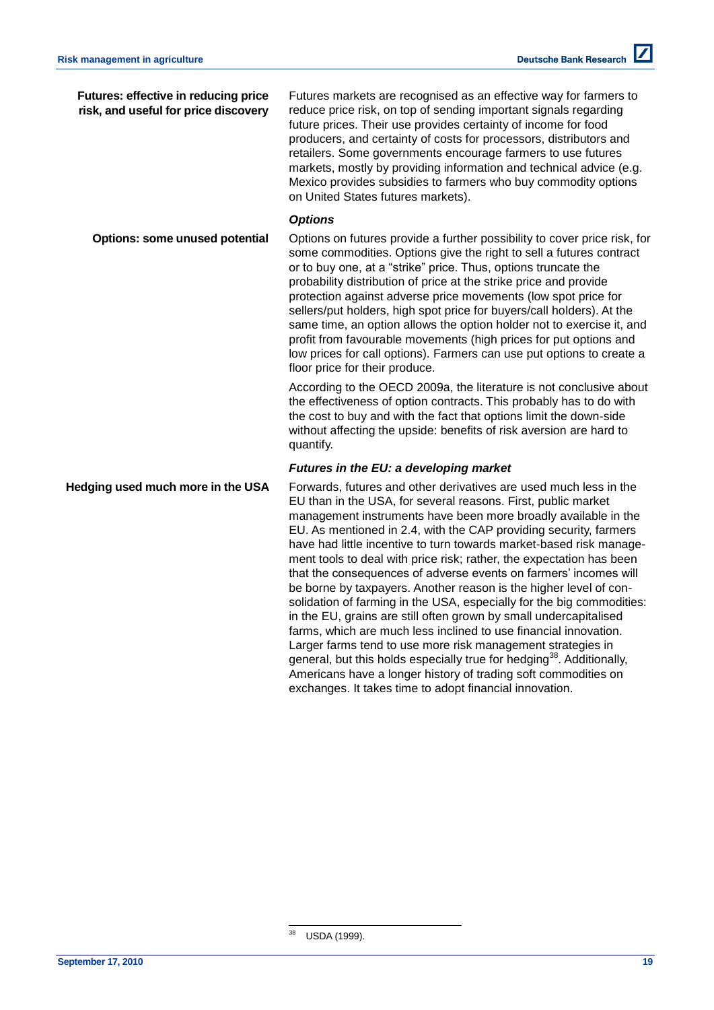| <b>Futures: effective in reducing price</b><br>risk, and useful for price discovery | Futures markets are recognised as an effective way for farmers to<br>reduce price risk, on top of sending important signals regarding<br>future prices. Their use provides certainty of income for food<br>producers, and certainty of costs for processors, distributors and<br>retailers. Some governments encourage farmers to use futures<br>markets, mostly by providing information and technical advice (e.g.<br>Mexico provides subsidies to farmers who buy commodity options<br>on United States futures markets).                                                                                                                                                                                                                                                      |
|-------------------------------------------------------------------------------------|-----------------------------------------------------------------------------------------------------------------------------------------------------------------------------------------------------------------------------------------------------------------------------------------------------------------------------------------------------------------------------------------------------------------------------------------------------------------------------------------------------------------------------------------------------------------------------------------------------------------------------------------------------------------------------------------------------------------------------------------------------------------------------------|
|                                                                                     | <b>Options</b>                                                                                                                                                                                                                                                                                                                                                                                                                                                                                                                                                                                                                                                                                                                                                                    |
| <b>Options: some unused potential</b>                                               | Options on futures provide a further possibility to cover price risk, for<br>some commodities. Options give the right to sell a futures contract<br>or to buy one, at a "strike" price. Thus, options truncate the<br>probability distribution of price at the strike price and provide<br>protection against adverse price movements (low spot price for<br>sellers/put holders, high spot price for buyers/call holders). At the<br>same time, an option allows the option holder not to exercise it, and<br>profit from favourable movements (high prices for put options and<br>low prices for call options). Farmers can use put options to create a<br>floor price for their produce.                                                                                       |
|                                                                                     | According to the OECD 2009a, the literature is not conclusive about<br>the effectiveness of option contracts. This probably has to do with<br>the cost to buy and with the fact that options limit the down-side<br>without affecting the upside: benefits of risk aversion are hard to<br>quantify.                                                                                                                                                                                                                                                                                                                                                                                                                                                                              |
|                                                                                     | Futures in the EU: a developing market                                                                                                                                                                                                                                                                                                                                                                                                                                                                                                                                                                                                                                                                                                                                            |
| Hedging used much more in the USA                                                   | Forwards, futures and other derivatives are used much less in the<br>EU than in the USA, for several reasons. First, public market<br>management instruments have been more broadly available in the<br>EU. As mentioned in 2.4, with the CAP providing security, farmers<br>have had little incentive to turn towards market-based risk manage-<br>ment tools to deal with price risk; rather, the expectation has been<br>that the consequences of adverse events on farmers' incomes will<br>be borne by taxpayers. Another reason is the higher level of con-<br>solidation of farming in the USA, especially for the big commodities:<br>in the EU, grains are still often grown by small undercapitalised<br>farme which are much less inclined to use financial innovation |

farms, which are much less inclined to use financial innovation. Larger farms tend to use more risk management strategies in general, but this holds especially true for hedging<sup>38</sup>. Additionally, Americans have a longer history of trading soft commodities on exchanges. It takes time to adopt financial innovation.

<sup>38</sup> USDA (1999).

l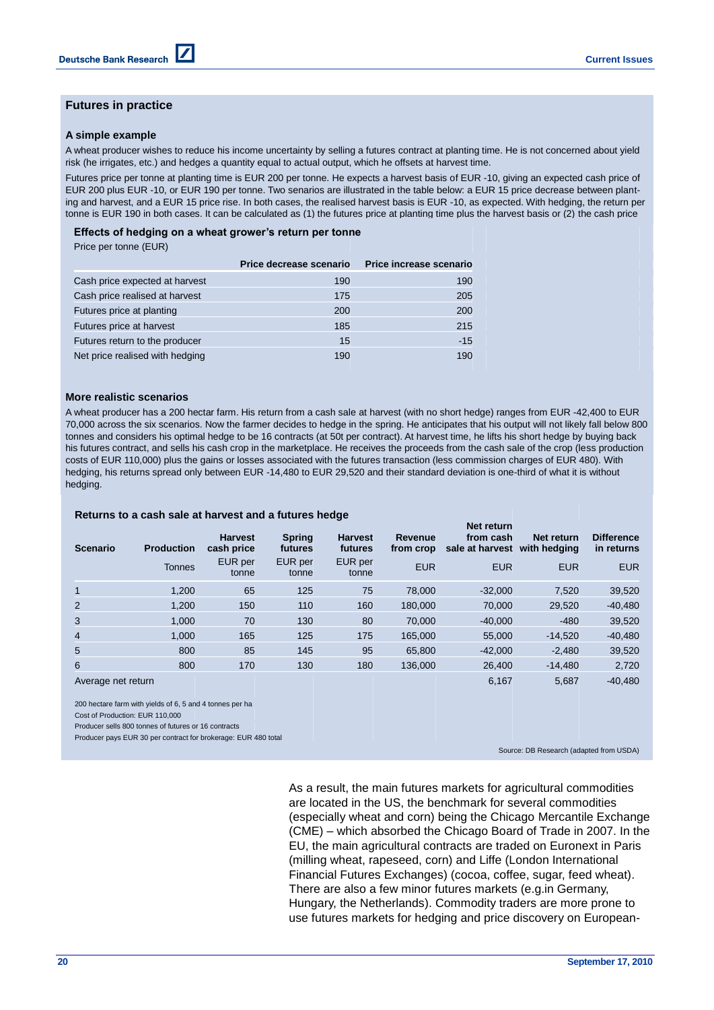### **Futures in practice**

#### **A simple example**

A wheat producer wishes to reduce his income uncertainty by selling a futures contract at planting time. He is not concerned about yield risk (he irrigates, etc.) and hedges a quantity equal to actual output, which he offsets at harvest time.

Futures price per tonne at planting time is EUR 200 per tonne. He expects a harvest basis of EUR -10, giving an expected cash price of EUR 200 plus EUR -10, or EUR 190 per tonne. Two senarios are illustrated in the table below: a EUR 15 price decrease between planting and harvest, and a EUR 15 price rise. In both cases, the realised harvest basis is EUR -10, as expected. With hedging, the return per tonne is EUR 190 in both cases. It can be calculated as (1) the futures price at planting time plus the harvest basis or (2) the cash price

# **Effects of hedging on a wheat grower's return per tonne** and anticipated with certainty of the anticipated with c

Price per tonne (EUR)

|                                 | Price decrease scenario | Price increase scenario |
|---------------------------------|-------------------------|-------------------------|
| Cash price expected at harvest  | 190                     | 190                     |
| Cash price realised at harvest  | 175                     | 205                     |
| Futures price at planting       | 200                     | 200                     |
| Futures price at harvest        | 185                     | 215                     |
| Futures return to the producer  | 15                      | $-15$                   |
| Net price realised with hedging | 190                     | 190                     |

#### **More realistic scenarios**

A wheat producer has a 200 hectar farm. His return from a cash sale at harvest (with no short hedge) ranges from EUR -42,400 to EUR 70,000 across the six scenarios. Now the farmer decides to hedge in the spring. He anticipates that his output will not likely fall below 800 tonnes and considers his optimal hedge to be 16 contracts (at 50t per contract). At harvest time, he lifts his short hedge by buying back his futures contract, and sells his cash crop in the marketplace. He receives the proceeds from the cash sale of the crop (less production costs of EUR 110,000) plus the gains or losses associated with the futures transaction (less commission charges of EUR 480). With hedging, his returns spread only between EUR -14,480 to EUR 29,520 and their standard deviation is one-third of what it is without hedging.

#### **Returns to a cash sale at harvest and a futures hedge**

| <b>Scenario</b>    | <b>Production</b> | <b>Harvest</b><br>cash price | <b>Spring</b><br>futures | <b>Harvest</b><br>futures | Revenue<br>from crop | Net return<br>from cash<br>sale at harvest | Net return<br>with hedging | <b>Difference</b><br>in returns |
|--------------------|-------------------|------------------------------|--------------------------|---------------------------|----------------------|--------------------------------------------|----------------------------|---------------------------------|
|                    | Tonnes            | EUR per<br>tonne             | EUR per<br>tonne         | EUR per<br>tonne          | <b>EUR</b>           | <b>EUR</b>                                 | <b>EUR</b>                 | <b>EUR</b>                      |
| $\mathbf{1}$       | 1.200             | 65                           | 125                      | 75                        | 78,000               | $-32.000$                                  | 7,520                      | 39,520                          |
| 2                  | 1.200             | 150                          | 110                      | 160                       | 180,000              | 70,000                                     | 29,520                     | $-40,480$                       |
| 3                  | 1.000             | 70                           | 130                      | 80                        | 70,000               | $-40.000$                                  | $-480$                     | 39,520                          |
| $\overline{4}$     | 1.000             | 165                          | 125                      | 175                       | 165,000              | 55,000                                     | $-14.520$                  | $-40,480$                       |
| 5                  | 800               | 85                           | 145                      | 95                        | 65,800               | $-42,000$                                  | $-2.480$                   | 39,520                          |
| 6                  | 800               | 170                          | 130                      | 180                       | 136,000              | 26,400                                     | $-14.480$                  | 2,720                           |
| Average net return |                   |                              |                          |                           |                      | 6,167                                      | 5.687                      | $-40,480$                       |

200 hectare farm with yields of 6, 5 and 4 tonnes per ha

Cost of Production: EUR 110,000

Producer sells 800 tonnes of futures or 16 contracts

Producer pays EUR 30 per contract for brokerage: EUR 480 total

Source: DB Research (adapted from USDA)

As a result, the main futures markets for agricultural commodities are located in the US, the benchmark for several commodities (especially wheat and corn) being the Chicago Mercantile Exchange (CME) – which absorbed the Chicago Board of Trade in 2007. In the EU, the main agricultural contracts are traded on Euronext in Paris (milling wheat, rapeseed, corn) and Liffe (London International Financial Futures Exchanges) (cocoa, coffee, sugar, feed wheat). There are also a few minor futures markets (e.g.in Germany, Hungary, the Netherlands). Commodity traders are more prone to use futures markets for hedging and price discovery on European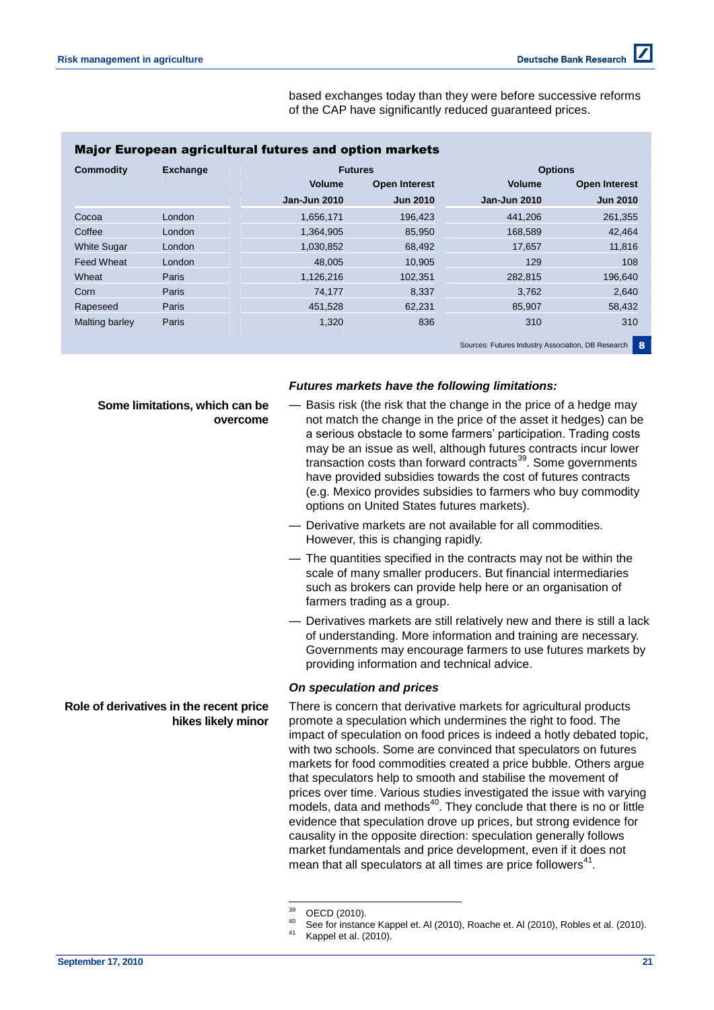based exchanges today than they were before successive reforms of the CAP have significantly reduced guaranteed prices.

| Commodity          | <b>Exchange</b> |                     | <b>Futures</b>       |                     | <b>Options</b>       |
|--------------------|-----------------|---------------------|----------------------|---------------------|----------------------|
|                    |                 | <b>Volume</b>       | <b>Open Interest</b> | <b>Volume</b>       | <b>Open Interest</b> |
|                    |                 | <b>Jan-Jun 2010</b> | <b>Jun 2010</b>      | <b>Jan-Jun 2010</b> | <b>Jun 2010</b>      |
| Cocoa              | London          | 1,656,171           | 196,423              | 441,206             | 261,355              |
| Coffee             | London          | 1.364.905           | 85,950               | 168,589             | 42,464               |
| <b>White Sugar</b> | London          | 1,030,852           | 68,492               | 17,657              | 11,816               |
| <b>Feed Wheat</b>  | London          | 48,005              | 10,905               | 129                 | 108                  |
| Wheat              | Paris           | 1.126.216           | 102.351              | 282.815             | 196,640              |
| Corn               | <b>Paris</b>    | 74,177              | 8,337                | 3,762               | 2,640                |
| Rapeseed           | Paris           | 451,528             | 62,231               | 85,907              | 58,432               |
| Malting barley     | <b>Paris</b>    | 1,320               | 836                  | 310                 | 310                  |

Sources: Futures Industry Association, DB Research 8

### *Futures markets have the following limitations:*

**Some limitations, which can be overcome**

**Role of derivatives in the recent price** 

**hikes likely minor**

- Basis risk (the risk that the change in the price of a hedge may not match the change in the price of the asset it hedges) can be a serious obstacle to some farmers' participation. Trading costs may be an issue as well, although futures contracts incur lower transaction costs than forward contracts<sup>39</sup>. Some governments have provided subsidies towards the cost of futures contracts (e.g. Mexico provides subsidies to farmers who buy commodity options on United States futures markets).
- Derivative markets are not available for all commodities. However, this is changing rapidly.
- The quantities specified in the contracts may not be within the scale of many smaller producers. But financial intermediaries such as brokers can provide help here or an organisation of farmers trading as a group.
- Derivatives markets are still relatively new and there is still a lack of understanding. More information and training are necessary. Governments may encourage farmers to use futures markets by providing information and technical advice.

### *On speculation and prices*

There is concern that derivative markets for agricultural products promote a speculation which undermines the right to food. The impact of speculation on food prices is indeed a hotly debated topic, with two schools. Some are convinced that speculators on futures markets for food commodities created a price bubble. Others argue that speculators help to smooth and stabilise the movement of prices over time. Various studies investigated the issue with varying  $m$  models, data and methods $40$ . They conclude that there is no or little evidence that speculation drove up prices, but strong evidence for causality in the opposite direction: speculation generally follows market fundamentals and price development, even if it does not mean that all speculators at all times are price followers $41$ .

**September 17, 2010 21**

<sup>39</sup>  $^{39}$  OECD (2010).

 $^{40}$  See for instance Kappel et. Al (2010), Roache et. Al (2010), Robles et al. (2010).

Kappel et al. (2010).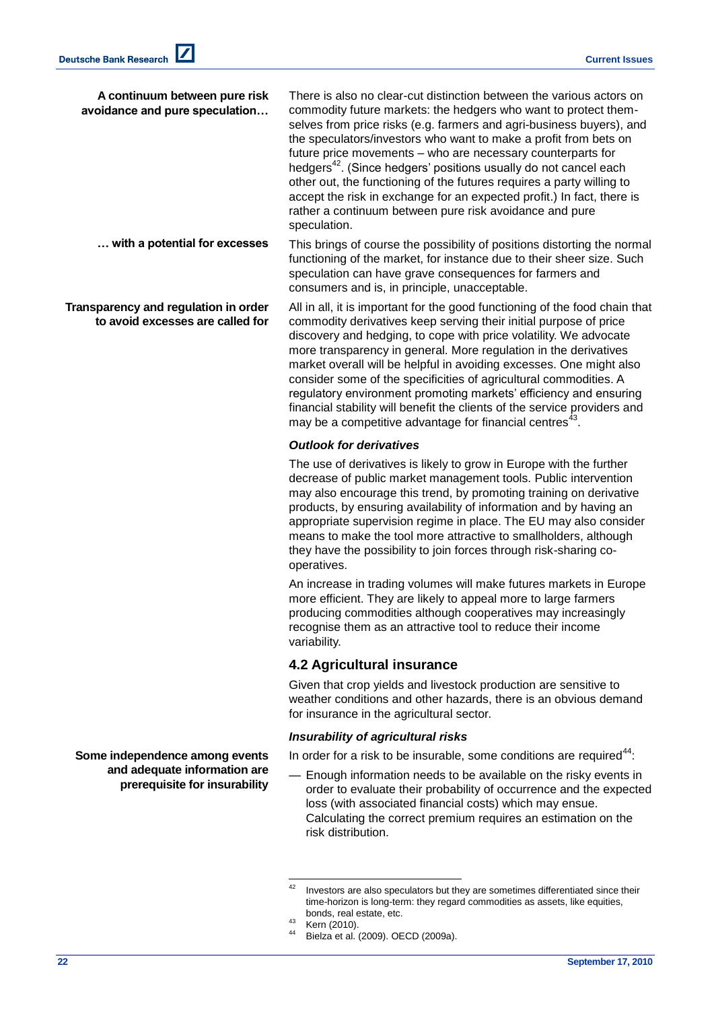| A continuum between pure risk<br>avoidance and pure speculation          | There is also no clear-cut distinction between the various actors on<br>commodity future markets: the hedgers who want to protect them-<br>selves from price risks (e.g. farmers and agri-business buyers), and<br>the speculators/investors who want to make a profit from bets on<br>future price movements - who are necessary counterparts for<br>hedgers <sup>42</sup> . (Since hedgers' positions usually do not cancel each<br>other out, the functioning of the futures requires a party willing to<br>accept the risk in exchange for an expected profit.) In fact, there is<br>rather a continuum between pure risk avoidance and pure<br>speculation. |
|--------------------------------------------------------------------------|------------------------------------------------------------------------------------------------------------------------------------------------------------------------------------------------------------------------------------------------------------------------------------------------------------------------------------------------------------------------------------------------------------------------------------------------------------------------------------------------------------------------------------------------------------------------------------------------------------------------------------------------------------------|
| with a potential for excesses                                            | This brings of course the possibility of positions distorting the normal<br>functioning of the market, for instance due to their sheer size. Such<br>speculation can have grave consequences for farmers and<br>consumers and is, in principle, unacceptable.                                                                                                                                                                                                                                                                                                                                                                                                    |
| Transparency and regulation in order<br>to avoid excesses are called for | All in all, it is important for the good functioning of the food chain that<br>commodity derivatives keep serving their initial purpose of price<br>discovery and hedging, to cope with price volatility. We advocate<br>more transparency in general. More regulation in the derivatives<br>market overall will be helpful in avoiding excesses. One might also<br>consider some of the specificities of agricultural commodities. A<br>regulatory environment promoting markets' efficiency and ensuring<br>financial stability will benefit the clients of the service providers and<br>may be a competitive advantage for financial centres <sup>43</sup> .  |
|                                                                          | <b>Outlook for derivatives</b>                                                                                                                                                                                                                                                                                                                                                                                                                                                                                                                                                                                                                                   |
|                                                                          | The use of derivatives is likely to grow in Europe with the further<br>decrease of public market management tools. Public intervention<br>may also encourage this trend, by promoting training on derivative<br>products, by ensuring availability of information and by having an<br>appropriate supervision regime in place. The EU may also consider<br>means to make the tool more attractive to smallholders, although<br>they have the possibility to join forces through risk-sharing co-<br>operatives.                                                                                                                                                  |
|                                                                          | An increase in trading volumes will make futures markets in Europe                                                                                                                                                                                                                                                                                                                                                                                                                                                                                                                                                                                               |

more efficient. They are likely to appeal more to large farmers producing commodities although cooperatives may increasingly recognise them as an attractive tool to reduce their income variability.

## **4.2 Agricultural insurance**

Given that crop yields and livestock production are sensitive to weather conditions and other hazards, there is an obvious demand for insurance in the agricultural sector.

### *Insurability of agricultural risks*

In order for a risk to be insurable, some conditions are required $44$ :

— Enough information needs to be available on the risky events in order to evaluate their probability of occurrence and the expected loss (with associated financial costs) which may ensue. Calculating the correct premium requires an estimation on the risk distribution.

**Some independence among events and adequate information are prerequisite for insurability**

<sup>42</sup> Investors are also speculators but they are sometimes differentiated since their time-horizon is long-term: they regard commodities as assets, like equities, bonds, real estate, etc.

 $43$  Kern (2010).

Bielza et al. (2009). OECD (2009a).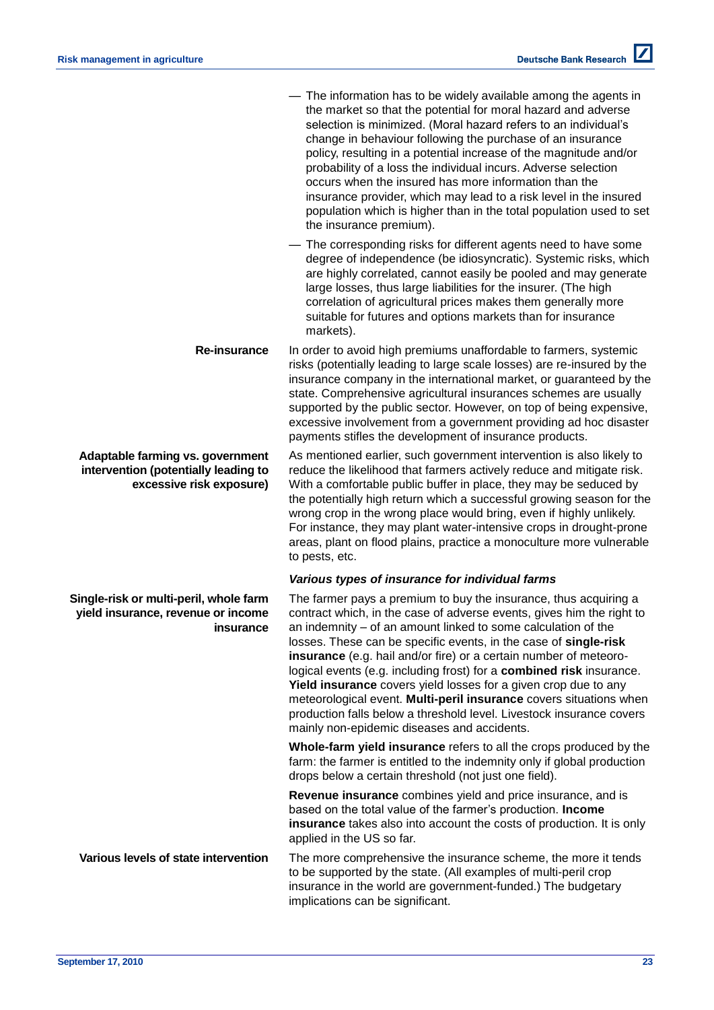|                                                                                                      | - The information has to be widely available among the agents in<br>the market so that the potential for moral hazard and adverse<br>selection is minimized. (Moral hazard refers to an individual's<br>change in behaviour following the purchase of an insurance<br>policy, resulting in a potential increase of the magnitude and/or<br>probability of a loss the individual incurs. Adverse selection<br>occurs when the insured has more information than the<br>insurance provider, which may lead to a risk level in the insured<br>population which is higher than in the total population used to set<br>the insurance premium).                                                   |
|------------------------------------------------------------------------------------------------------|---------------------------------------------------------------------------------------------------------------------------------------------------------------------------------------------------------------------------------------------------------------------------------------------------------------------------------------------------------------------------------------------------------------------------------------------------------------------------------------------------------------------------------------------------------------------------------------------------------------------------------------------------------------------------------------------|
|                                                                                                      | - The corresponding risks for different agents need to have some<br>degree of independence (be idiosyncratic). Systemic risks, which<br>are highly correlated, cannot easily be pooled and may generate<br>large losses, thus large liabilities for the insurer. (The high<br>correlation of agricultural prices makes them generally more<br>suitable for futures and options markets than for insurance<br>markets).                                                                                                                                                                                                                                                                      |
| Re-insurance                                                                                         | In order to avoid high premiums unaffordable to farmers, systemic<br>risks (potentially leading to large scale losses) are re-insured by the<br>insurance company in the international market, or guaranteed by the<br>state. Comprehensive agricultural insurances schemes are usually<br>supported by the public sector. However, on top of being expensive,<br>excessive involvement from a government providing ad hoc disaster<br>payments stifles the development of insurance products.                                                                                                                                                                                              |
| Adaptable farming vs. government<br>intervention (potentially leading to<br>excessive risk exposure) | As mentioned earlier, such government intervention is also likely to<br>reduce the likelihood that farmers actively reduce and mitigate risk.<br>With a comfortable public buffer in place, they may be seduced by<br>the potentially high return which a successful growing season for the<br>wrong crop in the wrong place would bring, even if highly unlikely.<br>For instance, they may plant water-intensive crops in drought-prone<br>areas, plant on flood plains, practice a monoculture more vulnerable<br>to pests, etc.                                                                                                                                                         |
|                                                                                                      | Various types of insurance for individual farms                                                                                                                                                                                                                                                                                                                                                                                                                                                                                                                                                                                                                                             |
| Single-risk or multi-peril, whole farm<br>yield insurance, revenue or income<br>insurance            | The farmer pays a premium to buy the insurance, thus acquiring a<br>contract which, in the case of adverse events, gives him the right to<br>an indemnity – of an amount linked to some calculation of the<br>losses. These can be specific events, in the case of single-risk<br>insurance (e.g. hail and/or fire) or a certain number of meteoro-<br>logical events (e.g. including frost) for a combined risk insurance.<br>Yield insurance covers yield losses for a given crop due to any<br>meteorological event. Multi-peril insurance covers situations when<br>production falls below a threshold level. Livestock insurance covers<br>mainly non-epidemic diseases and accidents. |
|                                                                                                      | Whole-farm yield insurance refers to all the crops produced by the<br>farm: the farmer is entitled to the indemnity only if global production<br>drops below a certain threshold (not just one field).                                                                                                                                                                                                                                                                                                                                                                                                                                                                                      |
|                                                                                                      | Revenue insurance combines yield and price insurance, and is<br>based on the total value of the farmer's production. Income<br>insurance takes also into account the costs of production. It is only<br>applied in the US so far.                                                                                                                                                                                                                                                                                                                                                                                                                                                           |
| Various levels of state intervention                                                                 | The more comprehensive the insurance scheme, the more it tends<br>to be supported by the state. (All examples of multi-peril crop<br>insurance in the world are government-funded.) The budgetary<br>implications can be significant.                                                                                                                                                                                                                                                                                                                                                                                                                                                       |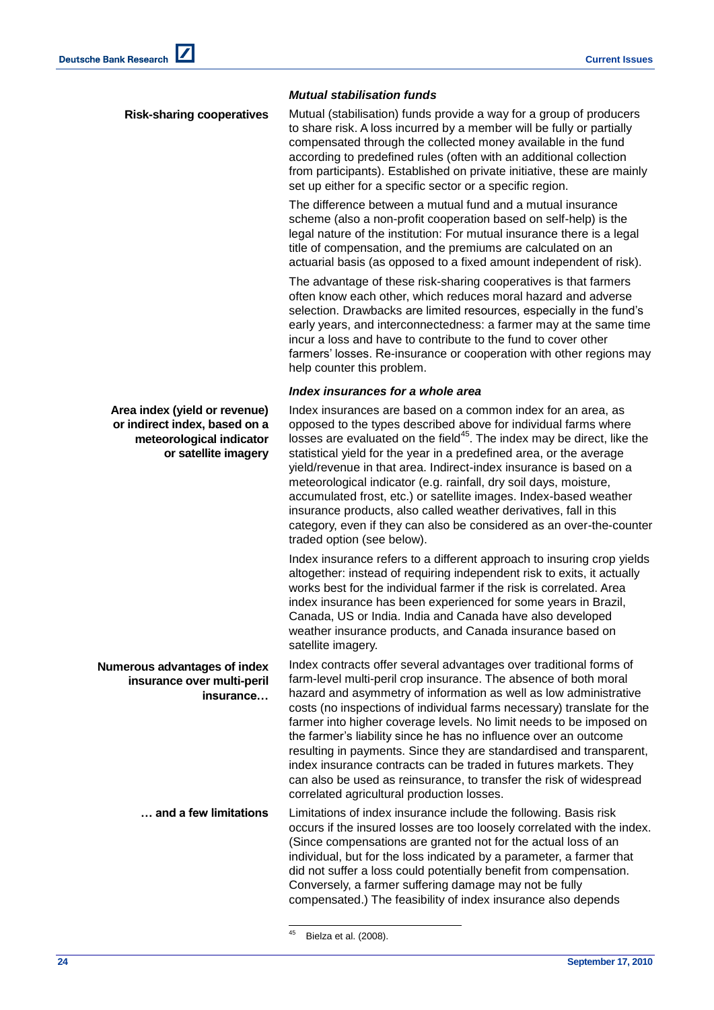### *Mutual stabilisation funds*

**Risk-sharing cooperatives** Mutual (stabilisation) funds provide a way for a group of producers to share risk. A loss incurred by a member will be fully or partially compensated through the collected money available in the fund according to predefined rules (often with an additional collection from participants). Established on private initiative, these are mainly set up either for a specific sector or a specific region.

> The difference between a mutual fund and a mutual insurance scheme (also a non-profit cooperation based on self-help) is the legal nature of the institution: For mutual insurance there is a legal title of compensation, and the premiums are calculated on an actuarial basis (as opposed to a fixed amount independent of risk).

The advantage of these risk-sharing cooperatives is that farmers often know each other, which reduces moral hazard and adverse selection. Drawbacks are limited resources, especially in the fund's early years, and interconnectedness: a farmer may at the same time incur a loss and have to contribute to the fund to cover other farmers' losses. Re-insurance or cooperation with other regions may help counter this problem.

### *Index insurances for a whole area*

Index insurances are based on a common index for an area, as opposed to the types described above for individual farms where losses are evaluated on the field<sup>45</sup>. The index may be direct, like the statistical yield for the year in a predefined area, or the average yield/revenue in that area. Indirect-index insurance is based on a meteorological indicator (e.g. rainfall, dry soil days, moisture, accumulated frost, etc.) or satellite images. Index-based weather insurance products, also called weather derivatives, fall in this category, even if they can also be considered as an over-the-counter traded option (see below).

Index insurance refers to a different approach to insuring crop yields altogether: instead of requiring independent risk to exits, it actually works best for the individual farmer if the risk is correlated. Area index insurance has been experienced for some years in Brazil, Canada, US or India. India and Canada have also developed weather insurance products, and Canada insurance based on satellite imagery.

Index contracts offer several advantages over traditional forms of farm-level multi-peril crop insurance. The absence of both moral hazard and asymmetry of information as well as low administrative costs (no inspections of individual farms necessary) translate for the farmer into higher coverage levels. No limit needs to be imposed on the farmer's liability since he has no influence over an outcome resulting in payments. Since they are standardised and transparent, index insurance contracts can be traded in futures markets. They can also be used as reinsurance, to transfer the risk of widespread correlated agricultural production losses.

**… and a few limitations** Limitations of index insurance include the following. Basis risk occurs if the insured losses are too loosely correlated with the index. (Since compensations are granted not for the actual loss of an individual, but for the loss indicated by a parameter, a farmer that did not suffer a loss could potentially benefit from compensation. Conversely, a farmer suffering damage may not be fully compensated.) The feasibility of index insurance also depends

Bielza et al. (2008).

l

**24 September 17, 2010**

**Area index (yield or revenue) or indirect index, based on a meteorological indicator or satellite imagery**

**Numerous advantages of index insurance over multi-peril insurance…**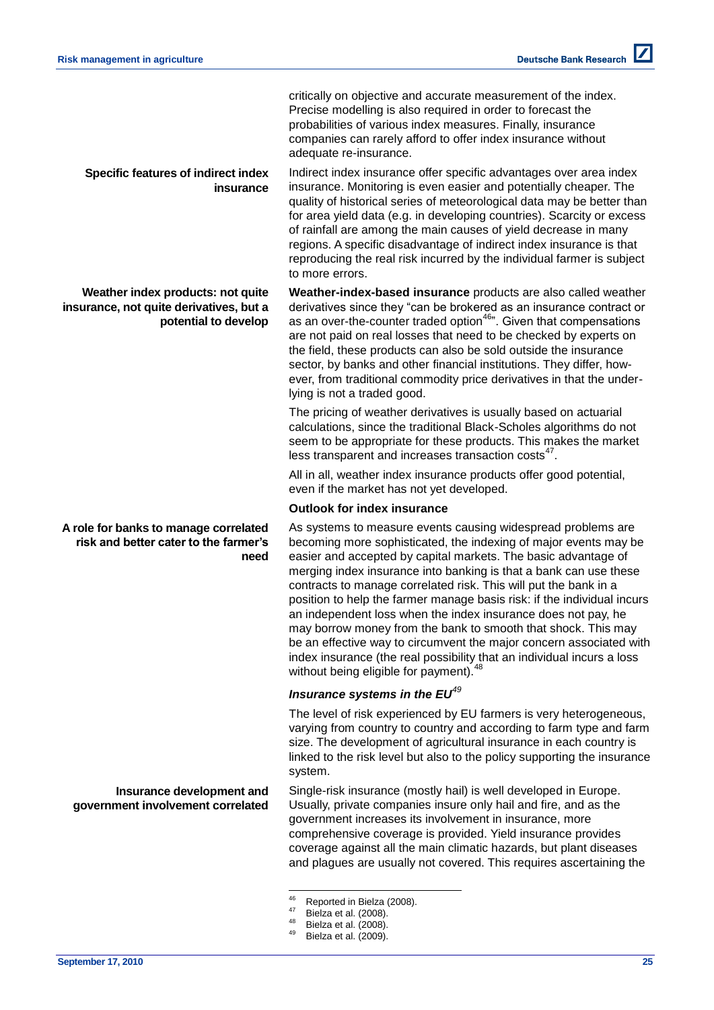critically on objective and accurate measurement of the index. Precise modelling is also required in order to forecast the probabilities of various index measures. Finally, insurance companies can rarely afford to offer index insurance without adequate re-insurance.

Indirect index insurance offer specific advantages over area index insurance. Monitoring is even easier and potentially cheaper. The quality of historical series of meteorological data may be better than for area yield data (e.g. in developing countries). Scarcity or excess of rainfall are among the main causes of yield decrease in many regions. A specific disadvantage of indirect index insurance is that reproducing the real risk incurred by the individual farmer is subject to more errors.

**Weather-index-based insurance** products are also called weather derivatives since they "can be brokered as an insurance contract or as an over-the-counter traded option<sup>46</sup><sup>n</sup>. Given that compensations are not paid on real losses that need to be checked by experts on the field, these products can also be sold outside the insurance sector, by banks and other financial institutions. They differ, however, from traditional commodity price derivatives in that the underlying is not a traded good.

The pricing of weather derivatives is usually based on actuarial calculations, since the traditional Black-Scholes algorithms do not seem to be appropriate for these products. This makes the market less transparent and increases transaction costs<sup>47</sup>.

All in all, weather index insurance products offer good potential, even if the market has not yet developed.

### **Outlook for index insurance**

As systems to measure events causing widespread problems are becoming more sophisticated, the indexing of major events may be easier and accepted by capital markets. The basic advantage of merging index insurance into banking is that a bank can use these contracts to manage correlated risk. This will put the bank in a position to help the farmer manage basis risk: if the individual incurs an independent loss when the index insurance does not pay, he may borrow money from the bank to smooth that shock. This may be an effective way to circumvent the major concern associated with index insurance (the real possibility that an individual incurs a loss without being eligible for payment).<sup>48</sup>

### *Insurance systems in the EU<sup>49</sup>*

The level of risk experienced by EU farmers is very heterogeneous, varying from country to country and according to farm type and farm size. The development of agricultural insurance in each country is linked to the risk level but also to the policy supporting the insurance system.

Single-risk insurance (mostly hail) is well developed in Europe. Usually, private companies insure only hail and fire, and as the government increases its involvement in insurance, more comprehensive coverage is provided. Yield insurance provides coverage against all the main climatic hazards, but plant diseases and plagues are usually not covered. This requires ascertaining the

**Specific features of indirect index insurance**

**Weather index products: not quite insurance, not quite derivatives, but a potential to develop**

#### **A role for banks to manage correlated risk and better cater to the farmer's need**

**Insurance development and government involvement correlated**

 $46$  $^{46}$  Reported in Bielza (2008).

Bielza et al. (2008).

 $^{48}$  Bielza et al. (2008).

Bielza et al. (2009).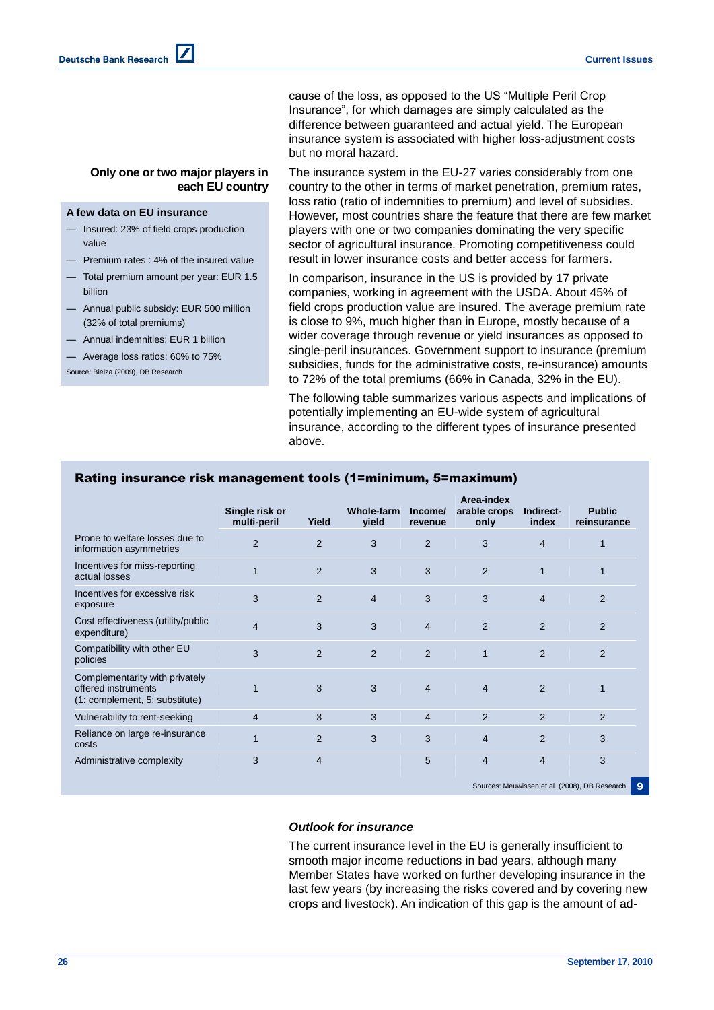cause of the loss, as opposed to the US "Multiple Peril Crop Insurance‖, for which damages are simply calculated as the difference between guaranteed and actual yield. The European insurance system is associated with higher loss-adjustment costs but no moral hazard.

**Only one or two major players in each EU country**

#### **A few data on EU insurance**

- Insured: 23% of field crops production value
- Premium rates : 4% of the insured value
- Total premium amount per year: EUR 1.5 billion
- Annual public subsidy: EUR 500 million (32% of total premiums)
- Annual indemnities: EUR 1 billion
- Average loss ratios: 60% to 75%

Source: Bielza (2009), DB Research

The insurance system in the EU-27 varies considerably from one country to the other in terms of market penetration, premium rates, loss ratio (ratio of indemnities to premium) and level of subsidies. However, most countries share the feature that there are few market players with one or two companies dominating the very specific sector of agricultural insurance. Promoting competitiveness could result in lower insurance costs and better access for farmers.

In comparison, insurance in the US is provided by 17 private companies, working in agreement with the USDA. About 45% of field crops production value are insured. The average premium rate is close to 9%, much higher than in Europe, mostly because of a wider coverage through revenue or yield insurances as opposed to single-peril insurances. Government support to insurance (premium subsidies, funds for the administrative costs, re-insurance) amounts to 72% of the total premiums (66% in Canada, 32% in the EU).

The following table summarizes various aspects and implications of potentially implementing an EU-wide system of agricultural insurance, according to the different types of insurance presented above.

|                                                                                         | Single risk or<br>multi-peril | Yield          | <b>Whole-farm</b><br>yield | Income/<br>revenue | Area-index<br>arable crops<br>only | Indirect-<br>index                                 | <b>Public</b><br>reinsurance |  |  |
|-----------------------------------------------------------------------------------------|-------------------------------|----------------|----------------------------|--------------------|------------------------------------|----------------------------------------------------|------------------------------|--|--|
| Prone to welfare losses due to<br>information asymmetries                               | $\overline{2}$                | $\overline{2}$ | 3                          | $\overline{2}$     | 3                                  | $\overline{4}$                                     |                              |  |  |
| Incentives for miss-reporting<br>actual losses                                          |                               | 2              | 3                          | 3                  | $\overline{2}$                     | 1                                                  |                              |  |  |
| Incentives for excessive risk<br>exposure                                               | 3                             | $\overline{2}$ | $\overline{4}$             | 3                  | 3                                  | $\overline{4}$                                     | $\overline{2}$               |  |  |
| Cost effectiveness (utility/public<br>expenditure)                                      | 4                             | 3              | 3                          | $\overline{4}$     | $\overline{2}$                     | $\overline{2}$                                     | $\overline{2}$               |  |  |
| Compatibility with other EU<br>policies                                                 | 3                             | $\overline{2}$ | $\overline{2}$             | $\overline{2}$     | 1                                  | $\overline{2}$                                     | $\overline{2}$               |  |  |
| Complementarity with privately<br>offered instruments<br>(1: complement, 5: substitute) |                               | 3              | 3                          | $\overline{4}$     | $\overline{4}$                     | $\overline{2}$                                     |                              |  |  |
| Vulnerability to rent-seeking                                                           | $\overline{4}$                | 3              | 3                          | $\overline{4}$     | 2                                  | 2                                                  | $\overline{2}$               |  |  |
| Reliance on large re-insurance<br>costs                                                 |                               | $\overline{2}$ | 3                          | 3                  | $\overline{4}$                     | $\overline{2}$                                     | 3                            |  |  |
| Administrative complexity                                                               | 3                             | $\overline{4}$ |                            | 5                  | $\overline{4}$                     | $\overline{4}$                                     | 3                            |  |  |
|                                                                                         |                               |                |                            |                    |                                    | Sources: Meuwissen et al. (2008), DB Research<br>9 |                              |  |  |

### Rating insurance risk management tools (1=minimum, 5=maximum)

#### *Outlook for insurance*

The current insurance level in the EU is generally insufficient to smooth major income reductions in bad years, although many Member States have worked on further developing insurance in the last few years (by increasing the risks covered and by covering new crops and livestock). An indication of this gap is the amount of ad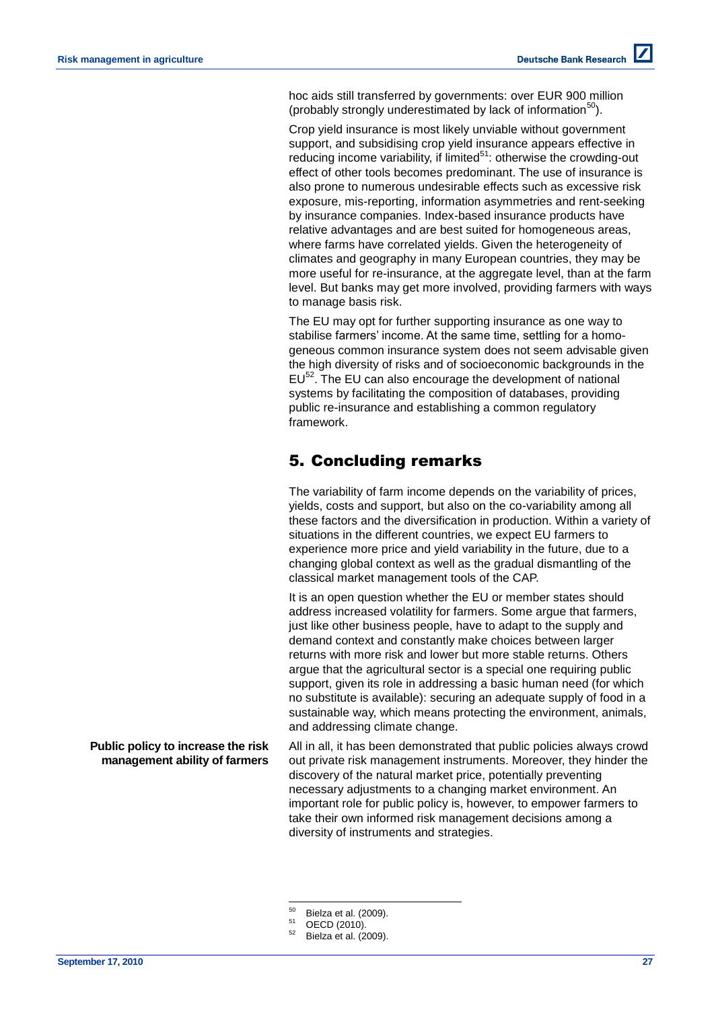hoc aids still transferred by governments: over EUR 900 million (probably strongly underestimated by lack of information<sup>50</sup>).

Crop yield insurance is most likely unviable without government support, and subsidising crop yield insurance appears effective in reducing income variability, if limited $51$ : otherwise the crowding-out effect of other tools becomes predominant. The use of insurance is also prone to numerous undesirable effects such as excessive risk exposure, mis-reporting, information asymmetries and rent-seeking by insurance companies. Index-based insurance products have relative advantages and are best suited for homogeneous areas, where farms have correlated vields. Given the heterogeneity of climates and geography in many European countries, they may be more useful for re-insurance, at the aggregate level, than at the farm level. But banks may get more involved, providing farmers with ways to manage basis risk.

The EU may opt for further supporting insurance as one way to stabilise farmers' income. At the same time, settling for a homogeneous common insurance system does not seem advisable given the high diversity of risks and of socioeconomic backgrounds in the  $EU^{52}$ . The EU can also encourage the development of national systems by facilitating the composition of databases, providing public re-insurance and establishing a common regulatory framework.

# 5. Concluding remarks

The variability of farm income depends on the variability of prices, yields, costs and support, but also on the co-variability among all these factors and the diversification in production. Within a variety of situations in the different countries, we expect EU farmers to experience more price and yield variability in the future, due to a changing global context as well as the gradual dismantling of the classical market management tools of the CAP.

It is an open question whether the EU or member states should address increased volatility for farmers. Some argue that farmers, just like other business people, have to adapt to the supply and demand context and constantly make choices between larger returns with more risk and lower but more stable returns. Others argue that the agricultural sector is a special one requiring public support, given its role in addressing a basic human need (for which no substitute is available): securing an adequate supply of food in a sustainable way, which means protecting the environment, animals, and addressing climate change.

All in all, it has been demonstrated that public policies always crowd out private risk management instruments. Moreover, they hinder the discovery of the natural market price, potentially preventing necessary adjustments to a changing market environment. An important role for public policy is, however, to empower farmers to take their own informed risk management decisions among a diversity of instruments and strategies.

**Public policy to increase the risk management ability of farmers**

<sup>50</sup>  $^{50}$  Bielza et al. (2009).

 $^{51}$  OECD (2010).

Bielza et al. (2009).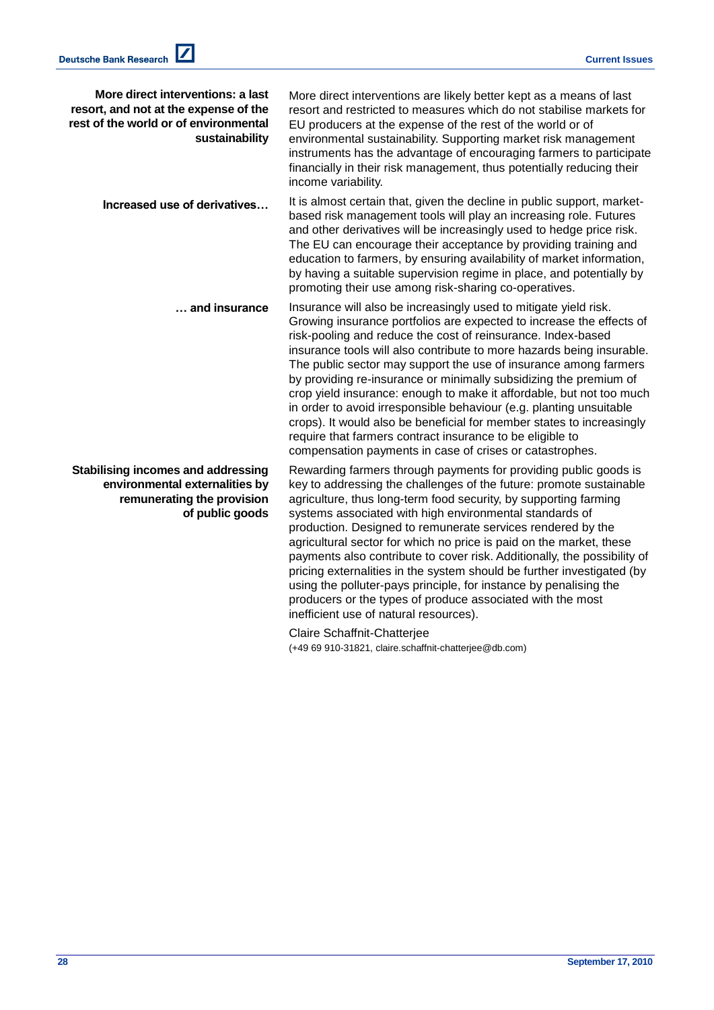| More direct interventions: a last<br>resort, and not at the expense of the<br>rest of the world or of environmental<br>sustainability | More direct interventions are likely better kept as a means of last<br>resort and restricted to measures which do not stabilise markets for<br>EU producers at the expense of the rest of the world or of<br>environmental sustainability. Supporting market risk management<br>instruments has the advantage of encouraging farmers to participate<br>financially in their risk management, thus potentially reducing their<br>income variability.                                                                                                                                                                                                                                                                                                                            |
|---------------------------------------------------------------------------------------------------------------------------------------|--------------------------------------------------------------------------------------------------------------------------------------------------------------------------------------------------------------------------------------------------------------------------------------------------------------------------------------------------------------------------------------------------------------------------------------------------------------------------------------------------------------------------------------------------------------------------------------------------------------------------------------------------------------------------------------------------------------------------------------------------------------------------------|
| Increased use of derivatives                                                                                                          | It is almost certain that, given the decline in public support, market-<br>based risk management tools will play an increasing role. Futures<br>and other derivatives will be increasingly used to hedge price risk.<br>The EU can encourage their acceptance by providing training and<br>education to farmers, by ensuring availability of market information,<br>by having a suitable supervision regime in place, and potentially by<br>promoting their use among risk-sharing co-operatives.                                                                                                                                                                                                                                                                              |
| and insurance                                                                                                                         | Insurance will also be increasingly used to mitigate yield risk.<br>Growing insurance portfolios are expected to increase the effects of<br>risk-pooling and reduce the cost of reinsurance. Index-based<br>insurance tools will also contribute to more hazards being insurable.<br>The public sector may support the use of insurance among farmers<br>by providing re-insurance or minimally subsidizing the premium of<br>crop yield insurance: enough to make it affordable, but not too much<br>in order to avoid irresponsible behaviour (e.g. planting unsuitable<br>crops). It would also be beneficial for member states to increasingly<br>require that farmers contract insurance to be eligible to<br>compensation payments in case of crises or catastrophes.    |
| <b>Stabilising incomes and addressing</b><br>environmental externalities by<br>remunerating the provision<br>of public goods          | Rewarding farmers through payments for providing public goods is<br>key to addressing the challenges of the future: promote sustainable<br>agriculture, thus long-term food security, by supporting farming<br>systems associated with high environmental standards of<br>production. Designed to remunerate services rendered by the<br>agricultural sector for which no price is paid on the market, these<br>payments also contribute to cover risk. Additionally, the possibility of<br>pricing externalities in the system should be further investigated (by<br>using the polluter-pays principle, for instance by penalising the<br>producers or the types of produce associated with the most<br>inefficient use of natural resources).<br>Claire Schaffnit-Chatteriee |

Claire Schaffnit-Chatterjee (+49 69 910-31821, claire.schaffnit-chatterjee@db.com)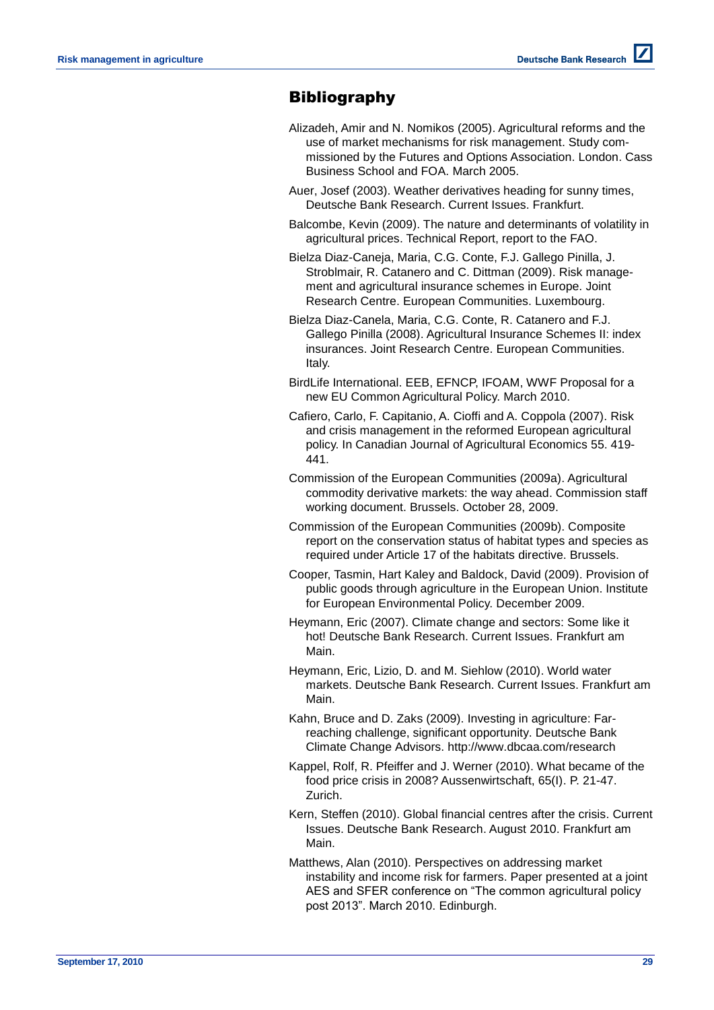# **Bibliography**

- Alizadeh, Amir and N. Nomikos (2005). Agricultural reforms and the use of market mechanisms for risk management. Study commissioned by the Futures and Options Association. London. Cass Business School and FOA. March 2005.
- Auer, Josef (2003). Weather derivatives heading for sunny times, Deutsche Bank Research. Current Issues. Frankfurt.
- Balcombe, Kevin (2009). The nature and determinants of volatility in agricultural prices. Technical Report, report to the FAO.
- Bielza Diaz-Caneja, Maria, C.G. Conte, F.J. Gallego Pinilla, J. Stroblmair, R. Catanero and C. Dittman (2009). Risk management and agricultural insurance schemes in Europe. Joint Research Centre. European Communities. Luxembourg.
- Bielza Diaz-Canela, Maria, C.G. Conte, R. Catanero and F.J. Gallego Pinilla (2008). Agricultural Insurance Schemes II: index insurances. Joint Research Centre. European Communities. Italy.
- BirdLife International. EEB, EFNCP, IFOAM, WWF Proposal for a new EU Common Agricultural Policy. March 2010.
- Cafiero, Carlo, F. Capitanio, A. Cioffi and A. Coppola (2007). Risk and crisis management in the reformed European agricultural policy. In Canadian Journal of Agricultural Economics 55. 419- 441.
- Commission of the European Communities (2009a). Agricultural commodity derivative markets: the way ahead. Commission staff working document. Brussels. October 28, 2009.
- Commission of the European Communities (2009b). Composite report on the conservation status of habitat types and species as required under Article 17 of the habitats directive. Brussels.
- Cooper, Tasmin, Hart Kaley and Baldock, David (2009). Provision of public goods through agriculture in the European Union. Institute for European Environmental Policy. December 2009.
- Heymann, Eric (2007). Climate change and sectors: Some like it hot! Deutsche Bank Research. Current Issues. Frankfurt am Main.
- Heymann, Eric, Lizio, D. and M. Siehlow (2010). World water markets. Deutsche Bank Research. Current Issues. Frankfurt am Main.
- Kahn, Bruce and D. Zaks (2009). Investing in agriculture: Farreaching challenge, significant opportunity. Deutsche Bank Climate Change Advisors. http://www.dbcaa.com/research
- Kappel, Rolf, R. Pfeiffer and J. Werner (2010). What became of the food price crisis in 2008? Aussenwirtschaft, 65(I). P. 21-47. Zurich.
- Kern, Steffen (2010). Global financial centres after the crisis. Current Issues. Deutsche Bank Research. August 2010. Frankfurt am Main.
- Matthews, Alan (2010). Perspectives on addressing market instability and income risk for farmers. Paper presented at a joint AES and SFER conference on "The common agricultural policy post 2013". March 2010. Edinburgh.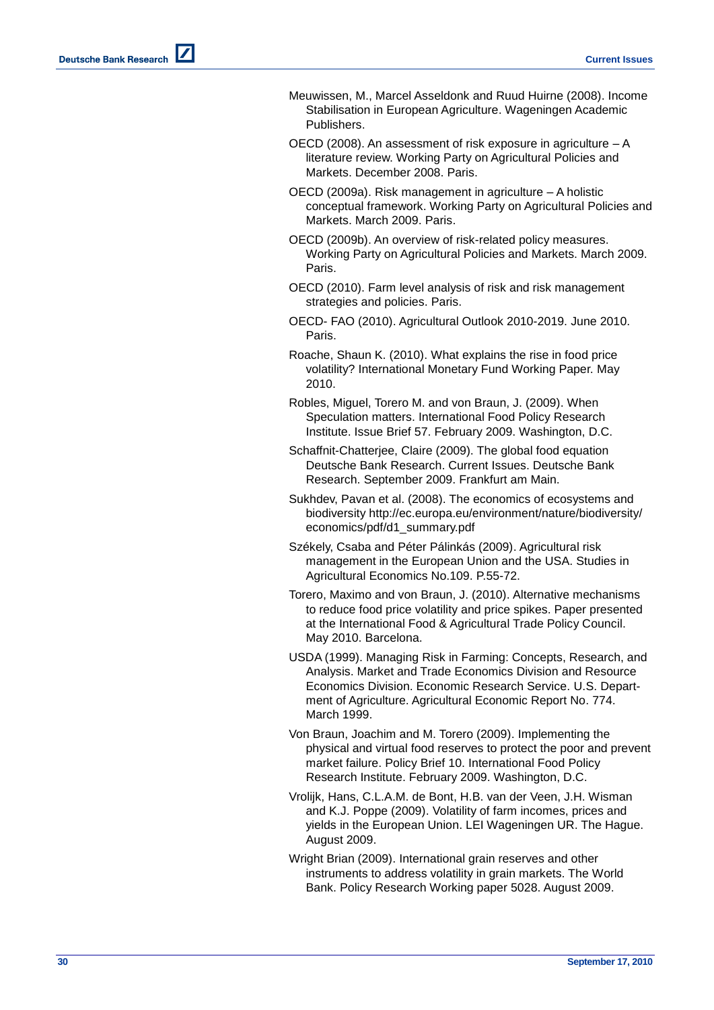- Meuwissen, M., Marcel Asseldonk and Ruud Huirne (2008). Income Stabilisation in European Agriculture. Wageningen Academic Publishers.
- OECD (2008). An assessment of risk exposure in agriculture A literature review. Working Party on Agricultural Policies and Markets. December 2008. Paris.
- OECD (2009a). Risk management in agriculture A holistic conceptual framework. Working Party on Agricultural Policies and Markets. March 2009. Paris.
- OECD (2009b). An overview of risk-related policy measures. Working Party on Agricultural Policies and Markets. March 2009. Paris.
- OECD (2010). Farm level analysis of risk and risk management strategies and policies. Paris.
- OECD- FAO (2010). Agricultural Outlook 2010-2019. June 2010. Paris.
- Roache, Shaun K. (2010). What explains the rise in food price volatility? International Monetary Fund Working Paper. May 2010.
- Robles, Miguel, Torero M. and von Braun, J. (2009). When Speculation matters. International Food Policy Research Institute. Issue Brief 57. February 2009. Washington, D.C.
- Schaffnit-Chatterjee, Claire (2009). The global food equation Deutsche Bank Research. Current Issues. Deutsche Bank Research. September 2009. Frankfurt am Main.
- Sukhdev, Pavan et al. (2008). The economics of ecosystems and biodiversity http://ec.europa.eu/environment/nature/biodiversity/ economics/pdf/d1\_summary.pdf
- Székely, Csaba and Péter Pálinkás (2009). Agricultural risk management in the European Union and the USA. Studies in Agricultural Economics No.109. P.55-72.
- Torero, Maximo and von Braun, J. (2010). Alternative mechanisms to reduce food price volatility and price spikes. Paper presented at the International Food & Agricultural Trade Policy Council. May 2010. Barcelona.
- USDA (1999). Managing Risk in Farming: Concepts, Research, and Analysis. Market and Trade Economics Division and Resource Economics Division. Economic Research Service. U.S. Department of Agriculture. Agricultural Economic Report No. 774. March 1999.
- Von Braun, Joachim and M. Torero (2009). Implementing the physical and virtual food reserves to protect the poor and prevent market failure. Policy Brief 10. International Food Policy Research Institute. February 2009. Washington, D.C.
- Vrolijk, Hans, C.L.A.M. de Bont, H.B. van der Veen, J.H. Wisman and K.J. Poppe (2009). Volatility of farm incomes, prices and yields in the European Union. LEI Wageningen UR. The Hague. August 2009.
- Wright Brian (2009). International grain reserves and other instruments to address volatility in grain markets. The World Bank. Policy Research Working paper 5028. August 2009.